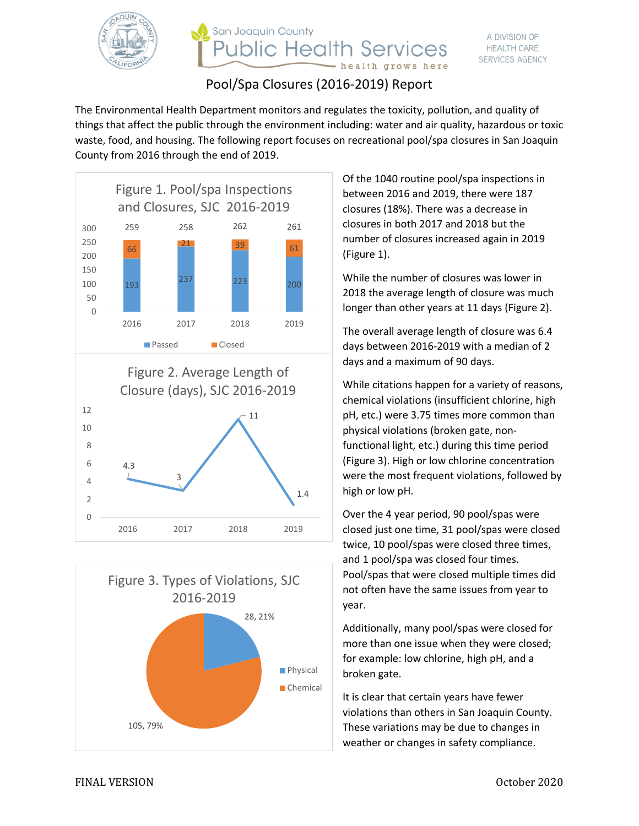

# San Joaquin County **Public Health Services** health grows here

# Pool/Spa Closures (2016-2019) Report

The Environmental Health Department monitors and regulates the toxicity, pollution, and quality of things that affect the public through the environment including: water and air quality, hazardous or toxic waste, food, and housing. The following report focuses on recreational pool/spa closures in San Joaquin County from 2016 through the end of 2019.







Of the 1040 routine pool/spa inspections in between 2016 and 2019, there were 187 closures (18%). There was a decrease in closures in both 2017 and 2018 but the number of closures increased again in 2019 (Figure 1).

While the number of closures was lower in 2018 the average length of closure was much longer than other years at 11 days (Figure 2).

The overall average length of closure was 6.4 days between 2016-2019 with a median of 2 days and a maximum of 90 days.

While citations happen for a variety of reasons, chemical violations (insufficient chlorine, high pH, etc.) were 3.75 times more common than physical violations (broken gate, nonfunctional light, etc.) during this time period (Figure 3). High or low chlorine concentration were the most frequent violations, followed by high or low pH.

Over the 4 year period, 90 pool/spas were closed just one time, 31 pool/spas were closed twice, 10 pool/spas were closed three times, and 1 pool/spa was closed four times. Pool/spas that were closed multiple times did not often have the same issues from year to year.

Additionally, many pool/spas were closed for more than one issue when they were closed; for example: low chlorine, high pH, and a broken gate.

It is clear that certain years have fewer violations than others in San Joaquin County. These variations may be due to changes in weather or changes in safety compliance.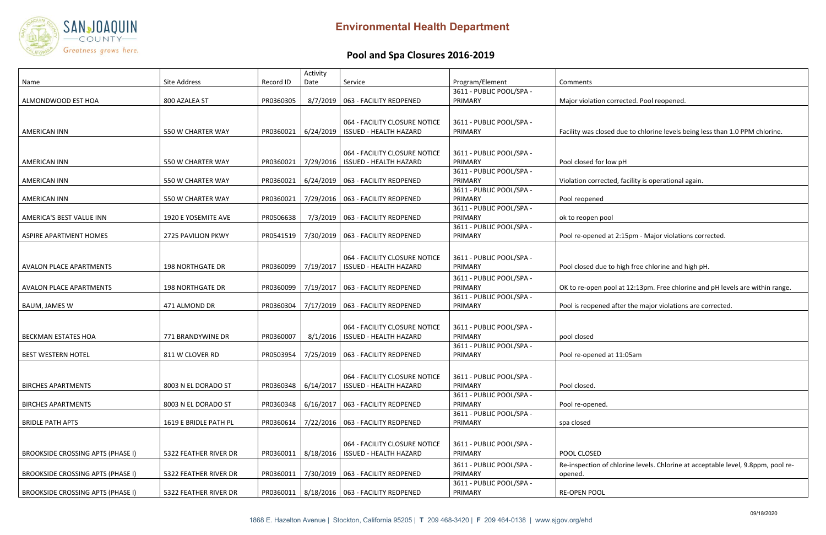#### corrected. Pool reopened.

## sed due to chlorine levels being less than 1.0 PPM chlorine.

low pH

cted, facility is operational again.

d at 2:15pm - Major violations corrected.

e to high free chlorine and high pH.

pool at 12:13pm. Free chlorine and pH levels are within range.

ed after the major violations are corrected.

l at 11:05am

of chlorine levels. Chlorine at acceptable level, 9.8ppm, pool re-



# **Pool and Spa Closures 2016‐2019**

|                                          |                         |           | Activity  |                                                 |                                     |                     |
|------------------------------------------|-------------------------|-----------|-----------|-------------------------------------------------|-------------------------------------|---------------------|
| Name                                     | Site Address            | Record ID | Date      | Service                                         | Program/Element                     | Comments            |
|                                          |                         |           |           |                                                 | 3611 - PUBLIC POOL/SPA -            |                     |
| ALMONDWOOD EST HOA                       | 800 AZALEA ST           | PR0360305 | 8/7/2019  | 063 - FACILITY REOPENED                         | PRIMARY                             | Major violation co  |
|                                          |                         |           |           |                                                 |                                     |                     |
|                                          |                         |           |           | 064 - FACILITY CLOSURE NOTICE                   | 3611 - PUBLIC POOL/SPA -            |                     |
| <b>AMERICAN INN</b>                      | 550 W CHARTER WAY       | PR0360021 | 6/24/2019 | <b>ISSUED - HEALTH HAZARD</b>                   | PRIMARY                             | Facility was closed |
|                                          |                         |           |           |                                                 |                                     |                     |
|                                          |                         |           |           | 064 - FACILITY CLOSURE NOTICE                   | 3611 - PUBLIC POOL/SPA -            |                     |
| <b>AMERICAN INN</b>                      | 550 W CHARTER WAY       | PR0360021 | 7/29/2016 | <b>ISSUED - HEALTH HAZARD</b>                   | PRIMARY                             | Pool closed for lov |
|                                          |                         |           |           |                                                 | 3611 - PUBLIC POOL/SPA -            |                     |
| <b>AMERICAN INN</b>                      | 550 W CHARTER WAY       | PR0360021 | 6/24/2019 | 063 - FACILITY REOPENED                         | PRIMARY                             | Violation correcte  |
|                                          |                         |           |           |                                                 | 3611 - PUBLIC POOL/SPA -            |                     |
| <b>AMERICAN INN</b>                      | 550 W CHARTER WAY       | PR0360021 | 7/29/2016 | 063 - FACILITY REOPENED                         | PRIMARY                             | Pool reopened       |
|                                          |                         |           |           |                                                 | 3611 - PUBLIC POOL/SPA -            |                     |
| AMERICA'S BEST VALUE INN                 | 1920 E YOSEMITE AVE     | PR0506638 | 7/3/2019  | 063 - FACILITY REOPENED                         | PRIMARY                             | ok to reopen pool   |
|                                          |                         |           |           |                                                 | 3611 - PUBLIC POOL/SPA -            |                     |
| <b>ASPIRE APARTMENT HOMES</b>            | 2725 PAVILION PKWY      | PR0541519 | 7/30/2019 | 063 - FACILITY REOPENED                         | PRIMARY                             | Pool re-opened at   |
|                                          |                         |           |           |                                                 |                                     |                     |
|                                          |                         |           |           | 064 - FACILITY CLOSURE NOTICE                   | 3611 - PUBLIC POOL/SPA -            |                     |
| <b>AVALON PLACE APARTMENTS</b>           | <b>198 NORTHGATE DR</b> | PR0360099 | 7/19/2017 | <b>ISSUED - HEALTH HAZARD</b>                   | PRIMARY                             | Pool closed due to  |
|                                          |                         |           |           |                                                 |                                     |                     |
|                                          | <b>198 NORTHGATE DR</b> | PR0360099 |           | 063 - FACILITY REOPENED                         | 3611 - PUBLIC POOL/SPA -<br>PRIMARY |                     |
| <b>AVALON PLACE APARTMENTS</b>           |                         |           | 7/19/2017 |                                                 | 3611 - PUBLIC POOL/SPA -            | OK to re-open poo   |
| BAUM, JAMES W                            | 471 ALMOND DR           | PR0360304 | 7/17/2019 | 063 - FACILITY REOPENED                         | PRIMARY                             | Pool is reopened a  |
|                                          |                         |           |           |                                                 |                                     |                     |
|                                          |                         |           |           |                                                 |                                     |                     |
|                                          |                         |           |           | 064 - FACILITY CLOSURE NOTICE                   | 3611 - PUBLIC POOL/SPA -            |                     |
| <b>BECKMAN ESTATES HOA</b>               | 771 BRANDYWINE DR       | PR0360007 | 8/1/2016  | <b>ISSUED - HEALTH HAZARD</b>                   | PRIMARY                             | pool closed         |
|                                          |                         |           |           |                                                 | 3611 - PUBLIC POOL/SPA -            |                     |
| <b>BEST WESTERN HOTEL</b>                | 811 W CLOVER RD         | PR0503954 | 7/25/2019 | 063 - FACILITY REOPENED                         | PRIMARY                             | Pool re-opened at   |
|                                          |                         |           |           |                                                 |                                     |                     |
|                                          |                         |           |           | 064 - FACILITY CLOSURE NOTICE                   | 3611 - PUBLIC POOL/SPA -            |                     |
| <b>BIRCHES APARTMENTS</b>                | 8003 N EL DORADO ST     | PR0360348 | 6/14/2017 | <b>ISSUED - HEALTH HAZARD</b>                   | PRIMARY                             | Pool closed.        |
|                                          |                         |           |           |                                                 | 3611 - PUBLIC POOL/SPA -            |                     |
| <b>BIRCHES APARTMENTS</b>                | 8003 N EL DORADO ST     | PR0360348 | 6/16/2017 | 063 - FACILITY REOPENED                         | PRIMARY                             | Pool re-opened.     |
|                                          |                         |           |           |                                                 | 3611 - PUBLIC POOL/SPA -            |                     |
| <b>BRIDLE PATH APTS</b>                  | 1619 E BRIDLE PATH PL   | PR0360614 | 7/22/2016 | 063 - FACILITY REOPENED                         | PRIMARY                             | spa closed          |
|                                          |                         |           |           |                                                 |                                     |                     |
|                                          |                         |           |           | 064 - FACILITY CLOSURE NOTICE                   | 3611 - PUBLIC POOL/SPA -            |                     |
| <b>BROOKSIDE CROSSING APTS (PHASE I)</b> | 5322 FEATHER RIVER DR   | PR0360011 | 8/18/2016 | <b>ISSUED - HEALTH HAZARD</b>                   | PRIMARY                             | POOL CLOSED         |
|                                          |                         |           |           |                                                 | 3611 - PUBLIC POOL/SPA -            | Re-inspection of cl |
| <b>BROOKSIDE CROSSING APTS (PHASE I)</b> | 5322 FEATHER RIVER DR   | PR0360011 | 7/30/2019 | 063 - FACILITY REOPENED                         | PRIMARY                             | opened.             |
|                                          |                         |           |           |                                                 | 3611 - PUBLIC POOL/SPA -            |                     |
| <b>BROOKSIDE CROSSING APTS (PHASE I)</b> | 5322 FEATHER RIVER DR   |           |           | PR0360011   8/18/2016   063 - FACILITY REOPENED | PRIMARY                             | <b>RE-OPEN POOL</b> |
|                                          |                         |           |           |                                                 |                                     |                     |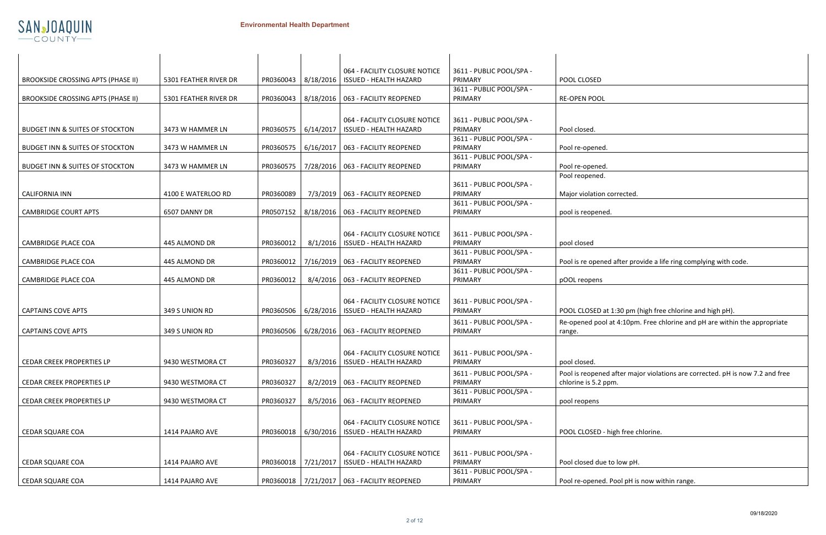i corrected.

ed after provide a life ring complying with code.

at 1:30 pm (high free chlorine and high pH).

l at 4:10pm. Free chlorine and pH are within the appropriate

ed after major violations are corrected. pH is now 7.2 and free ppm.

- high free chlorine.

e to low pH.

I. Pool pH is now within range.



|                                            |                       |           |           | 064 - FACILITY CLOSURE NOTICE | 3611 - PUBLIC POOL/SPA -            |                     |
|--------------------------------------------|-----------------------|-----------|-----------|-------------------------------|-------------------------------------|---------------------|
| <b>BROOKSIDE CROSSING APTS (PHASE II)</b>  | 5301 FEATHER RIVER DR | PR0360043 | 8/18/2016 | <b>ISSUED - HEALTH HAZARD</b> | PRIMARY                             | POOL CLOSED         |
|                                            |                       |           |           |                               | 3611 - PUBLIC POOL/SPA -            |                     |
| <b>BROOKSIDE CROSSING APTS (PHASE II)</b>  | 5301 FEATHER RIVER DR | PR0360043 | 8/18/2016 | 063 - FACILITY REOPENED       | PRIMARY                             | <b>RE-OPEN POOL</b> |
|                                            |                       |           |           |                               |                                     |                     |
|                                            |                       |           |           | 064 - FACILITY CLOSURE NOTICE | 3611 - PUBLIC POOL/SPA -            |                     |
| <b>BUDGET INN &amp; SUITES OF STOCKTON</b> | 3473 W HAMMER LN      | PR0360575 | 6/14/2017 | <b>ISSUED - HEALTH HAZARD</b> | PRIMARY                             | Pool closed.        |
|                                            |                       |           |           |                               | 3611 - PUBLIC POOL/SPA -            |                     |
| <b>BUDGET INN &amp; SUITES OF STOCKTON</b> | 3473 W HAMMER LN      | PR0360575 | 6/16/2017 | 063 - FACILITY REOPENED       | PRIMARY                             | Pool re-opened.     |
| <b>BUDGET INN &amp; SUITES OF STOCKTON</b> | 3473 W HAMMER LN      | PR0360575 | 7/28/2016 | 063 - FACILITY REOPENED       | 3611 - PUBLIC POOL/SPA -<br>PRIMARY | Pool re-opened.     |
|                                            |                       |           |           |                               |                                     | Pool reopened.      |
|                                            |                       |           |           |                               | 3611 - PUBLIC POOL/SPA -            |                     |
| <b>CALIFORNIA INN</b>                      | 4100 E WATERLOO RD    | PR0360089 | 7/3/2019  | 063 - FACILITY REOPENED       | PRIMARY                             | Major violation co  |
|                                            |                       |           |           |                               | 3611 - PUBLIC POOL/SPA -            |                     |
| <b>CAMBRIDGE COURT APTS</b>                | 6507 DANNY DR         | PR0507152 | 8/18/2016 | 063 - FACILITY REOPENED       | PRIMARY                             | pool is reopened.   |
|                                            |                       |           |           |                               |                                     |                     |
|                                            |                       |           |           | 064 - FACILITY CLOSURE NOTICE | 3611 - PUBLIC POOL/SPA -            |                     |
| <b>CAMBRIDGE PLACE COA</b>                 | 445 ALMOND DR         | PR0360012 | 8/1/2016  | <b>ISSUED - HEALTH HAZARD</b> | PRIMARY                             | pool closed         |
|                                            |                       |           |           |                               | 3611 - PUBLIC POOL/SPA -            |                     |
| <b>CAMBRIDGE PLACE COA</b>                 | 445 ALMOND DR         | PR0360012 | 7/16/2019 | 063 - FACILITY REOPENED       | PRIMARY                             | Pool is re opened   |
|                                            |                       |           |           |                               | 3611 - PUBLIC POOL/SPA -            |                     |
| <b>CAMBRIDGE PLACE COA</b>                 | 445 ALMOND DR         | PR0360012 | 8/4/2016  | 063 - FACILITY REOPENED       | PRIMARY                             | pOOL reopens        |
|                                            |                       |           |           |                               |                                     |                     |
|                                            |                       |           |           | 064 - FACILITY CLOSURE NOTICE | 3611 - PUBLIC POOL/SPA -            |                     |
| <b>CAPTAINS COVE APTS</b>                  | 349 S UNION RD        | PR0360506 | 6/28/2016 | <b>ISSUED - HEALTH HAZARD</b> | PRIMARY                             | POOL CLOSED at 1    |
|                                            |                       |           |           |                               | 3611 - PUBLIC POOL/SPA -            | Re-opened pool at   |
| <b>CAPTAINS COVE APTS</b>                  | 349 S UNION RD        | PR0360506 | 6/28/2016 | 063 - FACILITY REOPENED       | PRIMARY                             | range.              |
|                                            |                       |           |           |                               |                                     |                     |
|                                            |                       |           |           | 064 - FACILITY CLOSURE NOTICE | 3611 - PUBLIC POOL/SPA -            |                     |
| CEDAR CREEK PROPERTIES LP                  | 9430 WESTMORA CT      | PR0360327 | 8/3/2016  | <b>ISSUED - HEALTH HAZARD</b> | PRIMARY                             | pool closed.        |
|                                            |                       |           |           |                               | 3611 - PUBLIC POOL/SPA -            | Pool is reopened a  |
| <b>CEDAR CREEK PROPERTIES LP</b>           | 9430 WESTMORA CT      | PR0360327 | 8/2/2019  | 063 - FACILITY REOPENED       | PRIMARY                             | chlorine is 5.2 ppr |
|                                            |                       |           |           |                               | 3611 - PUBLIC POOL/SPA -            |                     |
| <b>CEDAR CREEK PROPERTIES LP</b>           | 9430 WESTMORA CT      | PR0360327 | 8/5/2016  | 063 - FACILITY REOPENED       | PRIMARY                             | pool reopens        |
|                                            |                       |           |           |                               |                                     |                     |
|                                            |                       |           |           | 064 - FACILITY CLOSURE NOTICE | 3611 - PUBLIC POOL/SPA -            |                     |
| <b>CEDAR SQUARE COA</b>                    | 1414 PAJARO AVE       | PR0360018 | 6/30/2016 | <b>ISSUED - HEALTH HAZARD</b> | PRIMARY                             | POOL CLOSED - his   |
|                                            |                       |           |           |                               |                                     |                     |
|                                            |                       |           |           | 064 - FACILITY CLOSURE NOTICE | 3611 - PUBLIC POOL/SPA -            |                     |
| <b>CEDAR SQUARE COA</b>                    | 1414 PAJARO AVE       | PR0360018 | 7/21/2017 | <b>ISSUED - HEALTH HAZARD</b> | PRIMARY                             | Pool closed due to  |
|                                            |                       |           |           |                               | 3611 - PUBLIC POOL/SPA -            |                     |
| <b>CEDAR SQUARE COA</b>                    | 1414 PAJARO AVE       | PR0360018 | 7/21/2017 | 063 - FACILITY REOPENED       | PRIMARY                             | Pool re-opened. P   |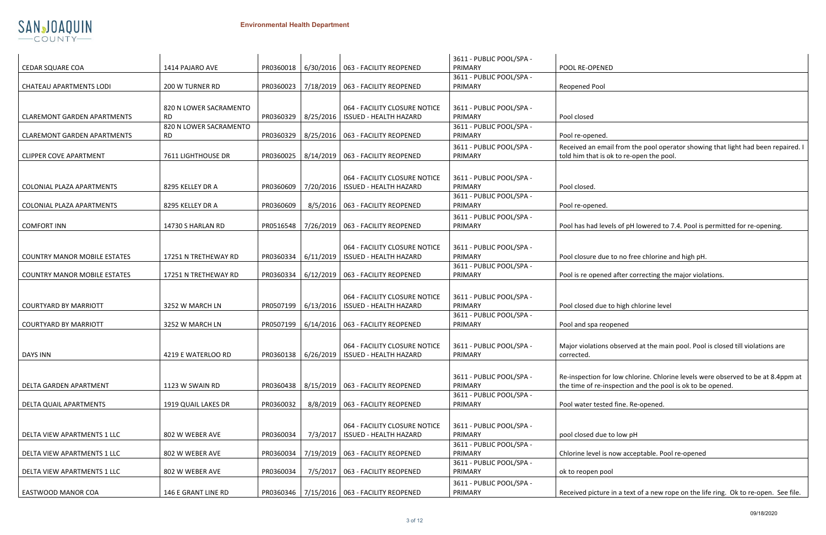

|                                     |                                     |                       |           |                                                                | 3611 - PUBLIC POOL/SPA -            |                                                                                                                      |
|-------------------------------------|-------------------------------------|-----------------------|-----------|----------------------------------------------------------------|-------------------------------------|----------------------------------------------------------------------------------------------------------------------|
| <b>CEDAR SQUARE COA</b>             | 1414 PAJARO AVE                     | PR0360018             |           | 6/30/2016   063 - FACILITY REOPENED                            | PRIMARY                             | POOL RE-OPENED                                                                                                       |
|                                     |                                     |                       |           |                                                                | 3611 - PUBLIC POOL/SPA -            |                                                                                                                      |
| <b>CHATEAU APARTMENTS LODI</b>      | 200 W TURNER RD                     | PR0360023             |           | 7/18/2019   063 - FACILITY REOPENED                            | PRIMARY                             | <b>Reopened Pool</b>                                                                                                 |
|                                     |                                     |                       |           |                                                                |                                     |                                                                                                                      |
|                                     | 820 N LOWER SACRAMENTO              |                       |           | 064 - FACILITY CLOSURE NOTICE                                  | 3611 - PUBLIC POOL/SPA -            |                                                                                                                      |
| <b>CLAREMONT GARDEN APARTMENTS</b>  | <b>RD</b><br>820 N LOWER SACRAMENTO | PR0360329             | 8/25/2016 | <b>ISSUED - HEALTH HAZARD</b>                                  | PRIMARY<br>3611 - PUBLIC POOL/SPA - | Pool closed                                                                                                          |
| <b>CLAREMONT GARDEN APARTMENTS</b>  | <b>RD</b>                           | PR0360329             |           | 8/25/2016   063 - FACILITY REOPENED                            | PRIMARY                             | Pool re-opened.                                                                                                      |
|                                     |                                     |                       |           |                                                                | 3611 - PUBLIC POOL/SPA -            | Received an email from the pool operator showing that                                                                |
| <b>CLIPPER COVE APARTMENT</b>       | 7611 LIGHTHOUSE DR                  | PR0360025             |           | 8/14/2019   063 - FACILITY REOPENED                            | PRIMARY                             | told him that is ok to re-open the pool.                                                                             |
|                                     |                                     |                       |           |                                                                |                                     |                                                                                                                      |
|                                     |                                     |                       |           | 064 - FACILITY CLOSURE NOTICE                                  | 3611 - PUBLIC POOL/SPA -            |                                                                                                                      |
| COLONIAL PLAZA APARTMENTS           | 8295 KELLEY DR A                    | PR0360609             | 7/20/2016 | <b>ISSUED - HEALTH HAZARD</b>                                  | PRIMARY                             | Pool closed.                                                                                                         |
|                                     |                                     |                       |           |                                                                | 3611 - PUBLIC POOL/SPA -            |                                                                                                                      |
| COLONIAL PLAZA APARTMENTS           | 8295 KELLEY DR A                    | PR0360609             | 8/5/2016  | 063 - FACILITY REOPENED                                        | PRIMARY                             | Pool re-opened.                                                                                                      |
|                                     |                                     |                       |           |                                                                | 3611 - PUBLIC POOL/SPA -            |                                                                                                                      |
| <b>COMFORT INN</b>                  | 14730 S HARLAN RD                   | PR0516548             |           | 7/26/2019   063 - FACILITY REOPENED                            | PRIMARY                             | Pool has had levels of pH lowered to 7.4. Pool is permitt                                                            |
|                                     |                                     |                       |           |                                                                |                                     |                                                                                                                      |
|                                     | 17251 N TRETHEWAY RD                | PR0360334             | 6/11/2019 | 064 - FACILITY CLOSURE NOTICE<br><b>ISSUED - HEALTH HAZARD</b> | 3611 - PUBLIC POOL/SPA -<br>PRIMARY |                                                                                                                      |
| <b>COUNTRY MANOR MOBILE ESTATES</b> |                                     |                       |           |                                                                | 3611 - PUBLIC POOL/SPA -            | Pool closure due to no free chlorine and high pH.                                                                    |
| <b>COUNTRY MANOR MOBILE ESTATES</b> | 17251 N TRETHEWAY RD                | PR0360334             |           | 6/12/2019   063 - FACILITY REOPENED                            | PRIMARY                             | Pool is re opened after correcting the major violations.                                                             |
|                                     |                                     |                       |           |                                                                |                                     |                                                                                                                      |
|                                     |                                     |                       |           | 064 - FACILITY CLOSURE NOTICE                                  | 3611 - PUBLIC POOL/SPA -            |                                                                                                                      |
| <b>COURTYARD BY MARRIOTT</b>        | 3252 W MARCH LN                     | PR0507199   6/13/2016 |           | <b>ISSUED - HEALTH HAZARD</b>                                  | PRIMARY                             | Pool closed due to high chlorine level                                                                               |
|                                     |                                     |                       |           |                                                                | 3611 - PUBLIC POOL/SPA -            |                                                                                                                      |
| <b>COURTYARD BY MARRIOTT</b>        | 3252 W MARCH LN                     | PR0507199             |           | 6/14/2016   063 - FACILITY REOPENED                            | PRIMARY                             | Pool and spa reopened                                                                                                |
|                                     |                                     |                       |           |                                                                |                                     |                                                                                                                      |
|                                     |                                     |                       |           | 064 - FACILITY CLOSURE NOTICE                                  | 3611 - PUBLIC POOL/SPA -            | Major violations observed at the main pool. Pool is close                                                            |
| DAYS INN                            | 4219 E WATERLOO RD                  |                       |           | PR0360138   6/26/2019   ISSUED - HEALTH HAZARD                 | PRIMARY                             | corrected.                                                                                                           |
|                                     |                                     |                       |           |                                                                |                                     |                                                                                                                      |
| DELTA GARDEN APARTMENT              | 1123 W SWAIN RD                     | PR0360438             |           | 8/15/2019   063 - FACILITY REOPENED                            | 3611 - PUBLIC POOL/SPA -<br>PRIMARY | Re-inspection for low chlorine. Chlorine levels were obs<br>the time of re-inspection and the pool is ok to be opene |
|                                     |                                     |                       |           |                                                                | 3611 - PUBLIC POOL/SPA -            |                                                                                                                      |
| DELTA QUAIL APARTMENTS              | 1919 QUAIL LAKES DR                 | PR0360032             |           | 8/8/2019   063 - FACILITY REOPENED                             | PRIMARY                             | Pool water tested fine. Re-opened.                                                                                   |
|                                     |                                     |                       |           |                                                                |                                     |                                                                                                                      |
|                                     |                                     |                       |           | 064 - FACILITY CLOSURE NOTICE                                  | 3611 - PUBLIC POOL/SPA -            |                                                                                                                      |
| DELTA VIEW APARTMENTS 1 LLC         | 802 W WEBER AVE                     | PR0360034             | 7/3/2017  | <b>ISSUED - HEALTH HAZARD</b>                                  | PRIMARY                             | pool closed due to low pH                                                                                            |
|                                     |                                     |                       |           |                                                                | 3611 - PUBLIC POOL/SPA -            |                                                                                                                      |
| DELTA VIEW APARTMENTS 1 LLC         | 802 W WEBER AVE                     | PR0360034             |           | 7/19/2019   063 - FACILITY REOPENED                            | PRIMARY<br>3611 - PUBLIC POOL/SPA - | Chlorine level is now acceptable. Pool re-opened                                                                     |
| DELTA VIEW APARTMENTS 1 LLC         | 802 W WEBER AVE                     | PR0360034             |           | 7/5/2017   063 - FACILITY REOPENED                             | PRIMARY                             | ok to reopen pool                                                                                                    |
|                                     |                                     |                       |           |                                                                | 3611 - PUBLIC POOL/SPA -            |                                                                                                                      |
| EASTWOOD MANOR COA                  | 146 E GRANT LINE RD                 |                       |           | PR0360346   7/15/2016   063 - FACILITY REOPENED                | PRIMARY                             | Received picture in a text of a new rope on the life ring.                                                           |
|                                     |                                     |                       |           |                                                                |                                     |                                                                                                                      |

| 3611 - PUBLIC POOL/SPA -            |                                                                                                                              |
|-------------------------------------|------------------------------------------------------------------------------------------------------------------------------|
| PRIMARY                             | Pool closed                                                                                                                  |
| 3611 - PUBLIC POOL/SPA -<br>PRIMARY | Pool re-opened.                                                                                                              |
| 3611 - PUBLIC POOL/SPA -<br>PRIMARY | Received an email from the pool operator showing that light had been repaired. I<br>told him that is ok to re-open the pool. |
|                                     |                                                                                                                              |
| 3611 - PUBLIC POOL/SPA -<br>PRIMARY | Pool closed.                                                                                                                 |
| 3611 - PUBLIC POOL/SPA -            |                                                                                                                              |
| PRIMARY                             | Pool re-opened.                                                                                                              |
| 3611 - PUBLIC POOL/SPA -<br>PRIMARY | Pool has had levels of pH lowered to 7.4. Pool is permitted for re-opening.                                                  |
|                                     |                                                                                                                              |
| 3611 - PUBLIC POOL/SPA -            |                                                                                                                              |
| PRIMARY                             | Pool closure due to no free chlorine and high pH.                                                                            |
| 3611 - PUBLIC POOL/SPA -            |                                                                                                                              |
| PRIMARY                             | Pool is re opened after correcting the major violations.                                                                     |
|                                     |                                                                                                                              |
| 3611 - PUBLIC POOL/SPA -            |                                                                                                                              |
| PRIMARY                             | Pool closed due to high chlorine level                                                                                       |
| 3611 - PUBLIC POOL/SPA -            |                                                                                                                              |
| PRIMARY                             | Pool and spa reopened                                                                                                        |
| 3611 - PUBLIC POOL/SPA -<br>PRIMARY | Major violations observed at the main pool. Pool is closed till violations are<br>corrected.                                 |
|                                     |                                                                                                                              |
| 3611 - PUBLIC POOL/SPA -            | Re-inspection for low chlorine. Chlorine levels were observed to be at 8.4ppm at                                             |
| PRIMARY                             | the time of re-inspection and the pool is ok to be opened.                                                                   |
| 3611 - PUBLIC POOL/SPA -            |                                                                                                                              |
| PRIMARY                             | Pool water tested fine. Re-opened.                                                                                           |
|                                     |                                                                                                                              |
| 3611 - PUBLIC POOL/SPA -            |                                                                                                                              |
| PRIMARY                             | pool closed due to low pH                                                                                                    |
| 3611 - PUBLIC POOL/SPA -            |                                                                                                                              |
| PRIMARY                             | Chlorine level is now acceptable. Pool re-opened                                                                             |
| 3611 - PUBLIC POOL/SPA -<br>PRIMARY | ok to reopen pool                                                                                                            |
|                                     |                                                                                                                              |
| 3611 - PUBLIC POOL/SPA -<br>PRIMARY | Received picture in a text of a new rope on the life ring. Ok to re-open. See file.                                          |
|                                     |                                                                                                                              |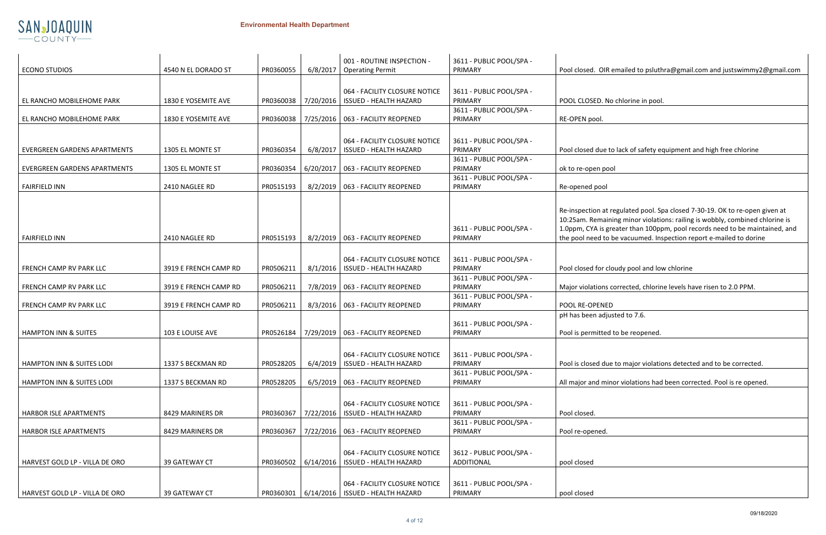

|  | Pool closed. OIR emailed to psluthra@gmail.com and justswimmy2@gmail.com |  |
|--|--------------------------------------------------------------------------|--|
|--|--------------------------------------------------------------------------|--|

## to lack of safety equipment and high free chlorine

t regulated pool. Spa closed 7-30-19. OK to re-open given at ining minor violations: railing is wobbly, combined chlorine is greater than 100ppm, pool records need to be maintained, and to be vacuumed. Inspection report e-mailed to dorine

|  | cloudy pool and low chlorine |
|--|------------------------------|

s corrected, chlorine levels have risen to 2.0 PPM.

ue to major violations detected and to be corrected.

hinor violations had been corrected. Pool is re opened.

|                                      |                       |           |           | 001 - ROUTINE INSPECTION -          | 3611 - PUBLIC POOL/SPA - |                                                |
|--------------------------------------|-----------------------|-----------|-----------|-------------------------------------|--------------------------|------------------------------------------------|
| <b>ECONO STUDIOS</b>                 | 4540 N EL DORADO ST   | PR0360055 | 6/8/2017  | <b>Operating Permit</b>             | PRIMARY                  | Pool closed. OIR emailed to psluthra@gmail     |
|                                      |                       |           |           |                                     |                          |                                                |
|                                      |                       |           |           | 064 - FACILITY CLOSURE NOTICE       | 3611 - PUBLIC POOL/SPA - |                                                |
| EL RANCHO MOBILEHOME PARK            | 1830 E YOSEMITE AVE   | PR0360038 | 7/20/2016 | <b>ISSUED - HEALTH HAZARD</b>       | PRIMARY                  | POOL CLOSED. No chlorine in pool.              |
|                                      |                       |           |           |                                     | 3611 - PUBLIC POOL/SPA - |                                                |
| EL RANCHO MOBILEHOME PARK            | 1830 E YOSEMITE AVE   | PR0360038 |           | 7/25/2016   063 - FACILITY REOPENED | PRIMARY                  | RE-OPEN pool.                                  |
|                                      |                       |           |           |                                     |                          |                                                |
|                                      |                       |           |           | 064 - FACILITY CLOSURE NOTICE       | 3611 - PUBLIC POOL/SPA - |                                                |
| <b>EVERGREEN GARDENS APARTMENTS</b>  | 1305 EL MONTE ST      | PR0360354 | 6/8/2017  | <b>ISSUED - HEALTH HAZARD</b>       | PRIMARY                  | Pool closed due to lack of safety equipment a  |
|                                      |                       |           |           |                                     | 3611 - PUBLIC POOL/SPA - |                                                |
| <b>EVERGREEN GARDENS APARTMENTS</b>  | 1305 EL MONTE ST      | PR0360354 | 6/20/2017 | 063 - FACILITY REOPENED             | PRIMARY                  | ok to re-open pool                             |
|                                      |                       |           |           |                                     | 3611 - PUBLIC POOL/SPA - |                                                |
| <b>FAIRFIELD INN</b>                 | 2410 NAGLEE RD        | PR0515193 | 8/2/2019  | 063 - FACILITY REOPENED             | PRIMARY                  | Re-opened pool                                 |
|                                      |                       |           |           |                                     |                          |                                                |
|                                      |                       |           |           |                                     |                          |                                                |
|                                      |                       |           |           |                                     |                          | Re-inspection at regulated pool. Spa closed 7  |
|                                      |                       |           |           |                                     |                          | 10:25am. Remaining minor violations: railing   |
|                                      |                       |           |           |                                     | 3611 - PUBLIC POOL/SPA - | 1.0ppm, CYA is greater than 100ppm, pool re    |
| <b>FAIRFIELD INN</b>                 | 2410 NAGLEE RD        | PR0515193 | 8/2/2019  | 063 - FACILITY REOPENED             | PRIMARY                  | the pool need to be vacuumed. Inspection re    |
|                                      |                       |           |           |                                     |                          |                                                |
|                                      |                       |           |           | 064 - FACILITY CLOSURE NOTICE       | 3611 - PUBLIC POOL/SPA - |                                                |
| FRENCH CAMP RV PARK LLC              | 3919 E FRENCH CAMP RD | PR0506211 | 8/1/2016  | <b>ISSUED - HEALTH HAZARD</b>       | PRIMARY                  | Pool closed for cloudy pool and low chlorine   |
|                                      |                       |           |           |                                     | 3611 - PUBLIC POOL/SPA - |                                                |
| FRENCH CAMP RV PARK LLC              | 3919 E FRENCH CAMP RD | PR0506211 |           | 7/8/2019   063 - FACILITY REOPENED  | PRIMARY                  | Major violations corrected, chlorine levels ha |
|                                      |                       |           |           |                                     | 3611 - PUBLIC POOL/SPA - |                                                |
| FRENCH CAMP RV PARK LLC              | 3919 E FRENCH CAMP RD | PR0506211 | 8/3/2016  | 063 - FACILITY REOPENED             | PRIMARY                  | POOL RE-OPENED                                 |
|                                      |                       |           |           |                                     |                          | pH has been adjusted to 7.6.                   |
|                                      |                       |           |           |                                     | 3611 - PUBLIC POOL/SPA - |                                                |
| <b>HAMPTON INN &amp; SUITES</b>      | 103 E LOUISE AVE      | PR0526184 | 7/29/2019 | 063 - FACILITY REOPENED             | PRIMARY                  | Pool is permitted to be reopened.              |
|                                      |                       |           |           |                                     |                          |                                                |
|                                      |                       |           |           | 064 - FACILITY CLOSURE NOTICE       | 3611 - PUBLIC POOL/SPA - |                                                |
| <b>HAMPTON INN &amp; SUITES LODI</b> | 1337 S BECKMAN RD     | PR0528205 | 6/4/2019  | <b>ISSUED - HEALTH HAZARD</b>       | PRIMARY                  | Pool is closed due to major violations detect  |
|                                      |                       |           |           |                                     | 3611 - PUBLIC POOL/SPA - |                                                |
| <b>HAMPTON INN &amp; SUITES LODI</b> | 1337 S BECKMAN RD     | PR0528205 |           | 6/5/2019   063 - FACILITY REOPENED  | PRIMARY                  | All major and minor violations had been corr   |
|                                      |                       |           |           |                                     |                          |                                                |
|                                      |                       |           |           | 064 - FACILITY CLOSURE NOTICE       | 3611 - PUBLIC POOL/SPA - |                                                |
| <b>HARBOR ISLE APARTMENTS</b>        | 8429 MARINERS DR      | PR0360367 | 7/22/2016 | <b>ISSUED - HEALTH HAZARD</b>       | PRIMARY                  | Pool closed.                                   |
|                                      |                       |           |           |                                     | 3611 - PUBLIC POOL/SPA - |                                                |
| <b>HARBOR ISLE APARTMENTS</b>        | 8429 MARINERS DR      | PR0360367 | 7/22/2016 | 063 - FACILITY REOPENED             | PRIMARY                  | Pool re-opened.                                |
|                                      |                       |           |           |                                     |                          |                                                |
|                                      |                       |           |           |                                     |                          |                                                |
|                                      |                       |           |           | 064 - FACILITY CLOSURE NOTICE       | 3612 - PUBLIC POOL/SPA - |                                                |
| HARVEST GOLD LP - VILLA DE ORO       | 39 GATEWAY CT         | PR0360502 | 6/14/2016 | <b>ISSUED - HEALTH HAZARD</b>       | <b>ADDITIONAL</b>        | pool closed                                    |
|                                      |                       |           |           |                                     |                          |                                                |
|                                      |                       |           |           | 064 - FACILITY CLOSURE NOTICE       | 3611 - PUBLIC POOL/SPA - |                                                |
| HARVEST GOLD LP - VILLA DE ORO       | 39 GATEWAY CT         | PR0360301 | 6/14/2016 | <b>ISSUED - HEALTH HAZARD</b>       | PRIMARY                  | pool closed                                    |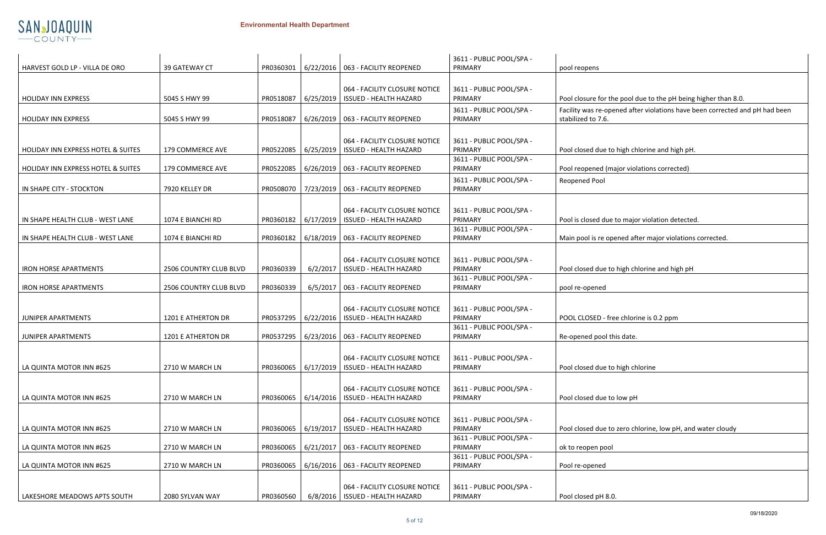

| Pool closure for the pool due to the pH being higher than 8.0.              |
|-----------------------------------------------------------------------------|
| Facility was re-opened after violations have been corrected and pH had been |
| stabilized to 7.6.                                                          |

|  | to high chlorine and high pH. |  |  |
|--|-------------------------------|--|--|
|  |                               |  |  |

|                                    |                        |           |                     |                                                                    | 3611 - PUBLIC POOL/SPA -            |                                                                                      |
|------------------------------------|------------------------|-----------|---------------------|--------------------------------------------------------------------|-------------------------------------|--------------------------------------------------------------------------------------|
| HARVEST GOLD LP - VILLA DE ORO     | 39 GATEWAY CT          | PR0360301 |                     | 6/22/2016   063 - FACILITY REOPENED                                | PRIMARY                             | pool reopens                                                                         |
| <b>HOLIDAY INN EXPRESS</b>         | 5045 S HWY 99          | PR0518087 | 6/25/2019           | 064 - FACILITY CLOSURE NOTICE<br><b>ISSUED - HEALTH HAZARD</b>     | 3611 - PUBLIC POOL/SPA -<br>PRIMARY | Pool closure for the pool due to the pH being higher than 8.0.                       |
| <b>HOLIDAY INN EXPRESS</b>         | 5045 S HWY 99          | PR0518087 |                     | 6/26/2019   063 - FACILITY REOPENED                                | 3611 - PUBLIC POOL/SPA -<br>PRIMARY | Facility was re-opened after violations have been corrected an<br>stabilized to 7.6. |
|                                    |                        |           |                     |                                                                    |                                     |                                                                                      |
| HOLIDAY INN EXPRESS HOTEL & SUITES | 179 COMMERCE AVE       | PR0522085 | 6/25/2019           | 064 - FACILITY CLOSURE NOTICE<br><b>ISSUED - HEALTH HAZARD</b>     | 3611 - PUBLIC POOL/SPA -<br>PRIMARY | Pool closed due to high chlorine and high pH.                                        |
| HOLIDAY INN EXPRESS HOTEL & SUITES | 179 COMMERCE AVE       | PR0522085 |                     | 6/26/2019   063 - FACILITY REOPENED                                | 3611 - PUBLIC POOL/SPA -<br>PRIMARY | Pool reopened (major violations corrected)                                           |
| IN SHAPE CITY - STOCKTON           | 7920 KELLEY DR         |           |                     | PR0508070   7/23/2019   063 - FACILITY REOPENED                    | 3611 - PUBLIC POOL/SPA -<br>PRIMARY | Reopened Pool                                                                        |
| IN SHAPE HEALTH CLUB - WEST LANE   | 1074 E BIANCHI RD      | PR0360182 | 6/17/2019           | 064 - FACILITY CLOSURE NOTICE<br><b>ISSUED - HEALTH HAZARD</b>     | 3611 - PUBLIC POOL/SPA -<br>PRIMARY | Pool is closed due to major violation detected.                                      |
| IN SHAPE HEALTH CLUB - WEST LANE   | 1074 E BIANCHI RD      | PR0360182 | 6/18/2019           | 063 - FACILITY REOPENED                                            | 3611 - PUBLIC POOL/SPA -<br>PRIMARY | Main pool is re opened after major violations corrected.                             |
| <b>IRON HORSE APARTMENTS</b>       | 2506 COUNTRY CLUB BLVD | PR0360339 | 6/2/2017            | 064 - FACILITY CLOSURE NOTICE<br><b>ISSUED - HEALTH HAZARD</b>     | 3611 - PUBLIC POOL/SPA -<br>PRIMARY | Pool closed due to high chlorine and high pH                                         |
| <b>IRON HORSE APARTMENTS</b>       | 2506 COUNTRY CLUB BLVD | PR0360339 | 6/5/2017            | 063 - FACILITY REOPENED                                            | 3611 - PUBLIC POOL/SPA -<br>PRIMARY | pool re-opened                                                                       |
| JUNIPER APARTMENTS                 | 1201 E ATHERTON DR     |           | PR0537295 6/22/2016 | 064 - FACILITY CLOSURE NOTICE<br><b>ISSUED - HEALTH HAZARD</b>     | 3611 - PUBLIC POOL/SPA -<br>PRIMARY | POOL CLOSED - free chlorine is 0.2 ppm                                               |
|                                    |                        |           |                     |                                                                    | 3611 - PUBLIC POOL/SPA -            |                                                                                      |
| JUNIPER APARTMENTS                 | 1201 E ATHERTON DR     | PR0537295 |                     | 6/23/2016   063 - FACILITY REOPENED                                | PRIMARY                             | Re-opened pool this date.                                                            |
| LA QUINTA MOTOR INN #625           | 2710 W MARCH LN        | PR0360065 | 6/17/2019           | 064 - FACILITY CLOSURE NOTICE<br><b>ISSUED - HEALTH HAZARD</b>     | 3611 - PUBLIC POOL/SPA -<br>PRIMARY | Pool closed due to high chlorine                                                     |
| LA QUINTA MOTOR INN #625           | 2710 W MARCH LN        | PR0360065 | 6/14/2016           | 064 - FACILITY CLOSURE NOTICE<br><b>ISSUED - HEALTH HAZARD</b>     | 3611 - PUBLIC POOL/SPA -<br>PRIMARY | Pool closed due to low pH                                                            |
| LA QUINTA MOTOR INN #625           | 2710 W MARCH LN        | PR0360065 | 6/19/2017           | 064 - FACILITY CLOSURE NOTICE<br><b>ISSUED - HEALTH HAZARD</b>     | 3611 - PUBLIC POOL/SPA -<br>PRIMARY | Pool closed due to zero chlorine, low pH, and water cloudy                           |
| LA QUINTA MOTOR INN #625           | 2710 W MARCH LN        |           |                     | PR0360065   6/21/2017   063 - FACILITY REOPENED                    | 3611 - PUBLIC POOL/SPA -<br>PRIMARY | ok to reopen pool                                                                    |
| LA QUINTA MOTOR INN #625           | 2710 W MARCH LN        | PR0360065 |                     | 6/16/2016   063 - FACILITY REOPENED                                | 3611 - PUBLIC POOL/SPA -<br>PRIMARY | Pool re-opened                                                                       |
| LAKESHORE MEADOWS APTS SOUTH       | 2080 SYLVAN WAY        | PR0360560 |                     | 064 - FACILITY CLOSURE NOTICE<br>6/8/2016   ISSUED - HEALTH HAZARD | 3611 - PUBLIC POOL/SPA -<br>PRIMARY | Pool closed pH 8.0.                                                                  |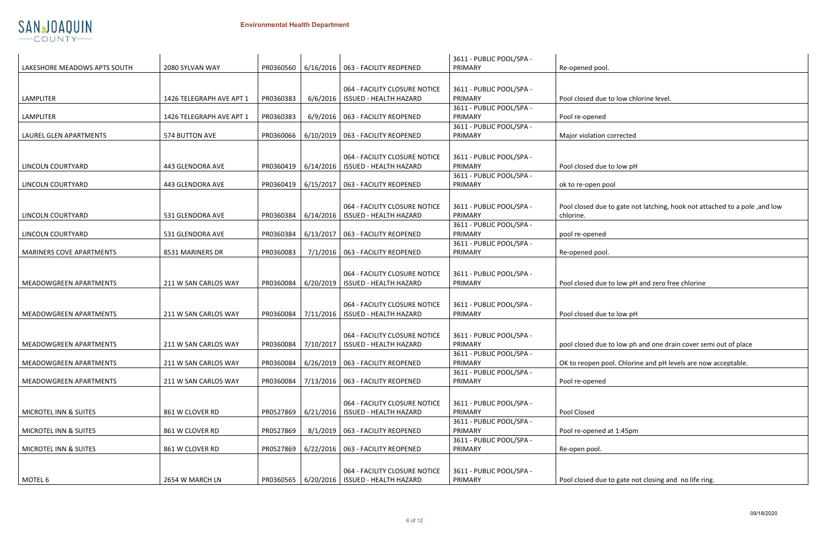|                        | Re-operied pool.                                                           |
|------------------------|----------------------------------------------------------------------------|
|                        |                                                                            |
| <b>BLIC POOL/SPA -</b> |                                                                            |
|                        | Pool closed due to low chlorine level.                                     |
| <b>BLIC POOL/SPA -</b> |                                                                            |
|                        |                                                                            |
|                        | Pool re-opened                                                             |
| <b>BLIC POOL/SPA -</b> |                                                                            |
|                        | Major violation corrected                                                  |
|                        |                                                                            |
| <b>BLIC POOL/SPA -</b> |                                                                            |
|                        |                                                                            |
|                        | Pool closed due to low pH                                                  |
| <b>BLIC POOL/SPA -</b> |                                                                            |
|                        | ok to re-open pool                                                         |
|                        |                                                                            |
|                        |                                                                            |
| <b>BLIC POOL/SPA -</b> | Pool closed due to gate not latching, hook not attached to a pole, and low |
|                        | chlorine.                                                                  |
| <b>BLIC POOL/SPA -</b> |                                                                            |
|                        | pool re-opened                                                             |
| <b>BLIC POOL/SPA -</b> |                                                                            |
|                        | Re-opened pool.                                                            |
|                        |                                                                            |
|                        |                                                                            |
| <b>BLIC POOL/SPA -</b> |                                                                            |
|                        | Pool closed due to low pH and zero free chlorine                           |
|                        |                                                                            |
|                        |                                                                            |
| <b>BLIC POOL/SPA -</b> |                                                                            |
|                        | Pool closed due to low pH                                                  |
|                        |                                                                            |
| <b>BLIC POOL/SPA -</b> |                                                                            |
|                        |                                                                            |
|                        | pool closed due to low ph and one drain cover semi out of place            |
| <b>BLIC POOL/SPA -</b> |                                                                            |
|                        | OK to reopen pool. Chlorine and pH levels are now acceptable.              |
| <b>BLIC POOL/SPA -</b> |                                                                            |
|                        | Pool re-opened                                                             |
|                        |                                                                            |
|                        |                                                                            |
| <b>BLIC POOL/SPA -</b> |                                                                            |
|                        | Pool Closed                                                                |
| <b>BLIC POOL/SPA -</b> |                                                                            |
|                        | Pool re-opened at 1:45pm                                                   |
| <b>BLIC POOL/SPA -</b> |                                                                            |
|                        | Re-open pool.                                                              |
|                        |                                                                            |
|                        |                                                                            |
| <b>BLIC POOL/SPA -</b> |                                                                            |
|                        | Pool closed due to gate not closing and no life ring.                      |
|                        |                                                                            |



|                               |                          |           |           |                                                | 3611 - PUBLIC POOL/SPA - |                                                     |
|-------------------------------|--------------------------|-----------|-----------|------------------------------------------------|--------------------------|-----------------------------------------------------|
| LAKESHORE MEADOWS APTS SOUTH  | 2080 SYLVAN WAY          | PR0360560 |           | 6/16/2016   063 - FACILITY REOPENED            | PRIMARY                  | Re-opened pool.                                     |
|                               |                          |           |           |                                                |                          |                                                     |
|                               |                          |           |           | 064 - FACILITY CLOSURE NOTICE                  | 3611 - PUBLIC POOL/SPA - |                                                     |
| <b>LAMPLITER</b>              | 1426 TELEGRAPH AVE APT 1 | PR0360383 | 6/6/2016  | <b>ISSUED - HEALTH HAZARD</b>                  | PRIMARY                  | Pool closed due to low chlorine level.              |
|                               |                          |           |           |                                                | 3611 - PUBLIC POOL/SPA - |                                                     |
| <b>LAMPLITER</b>              | 1426 TELEGRAPH AVE APT 1 | PR0360383 |           | 6/9/2016   063 - FACILITY REOPENED             | PRIMARY                  | Pool re-opened                                      |
|                               |                          |           |           |                                                | 3611 - PUBLIC POOL/SPA - |                                                     |
| LAUREL GLEN APARTMENTS        | 574 BUTTON AVE           | PR0360066 |           | 6/10/2019   063 - FACILITY REOPENED            | PRIMARY                  | Major violation corrected                           |
|                               |                          |           |           |                                                |                          |                                                     |
|                               |                          |           |           | 064 - FACILITY CLOSURE NOTICE                  | 3611 - PUBLIC POOL/SPA - |                                                     |
| LINCOLN COURTYARD             | 443 GLENDORA AVE         | PR0360419 | 6/14/2016 | <b>ISSUED - HEALTH HAZARD</b>                  | PRIMARY                  | Pool closed due to low pH                           |
|                               |                          |           |           |                                                | 3611 - PUBLIC POOL/SPA - |                                                     |
| LINCOLN COURTYARD             | 443 GLENDORA AVE         | PR0360419 |           | $6/15/2017$   063 - FACILITY REOPENED          | PRIMARY                  | ok to re-open pool                                  |
|                               |                          |           |           |                                                |                          |                                                     |
|                               |                          |           |           |                                                |                          |                                                     |
|                               |                          |           |           | 064 - FACILITY CLOSURE NOTICE                  | 3611 - PUBLIC POOL/SPA - | Pool closed due to gate not latching, hook not at   |
| LINCOLN COURTYARD             | 531 GLENDORA AVE         | PR0360384 | 6/14/2016 | <b>ISSUED - HEALTH HAZARD</b>                  | PRIMARY                  | chlorine.                                           |
|                               |                          |           |           |                                                | 3611 - PUBLIC POOL/SPA - |                                                     |
| LINCOLN COURTYARD             | 531 GLENDORA AVE         | PR0360384 |           | 6/13/2017   063 - FACILITY REOPENED            | PRIMARY                  | pool re-opened                                      |
|                               |                          |           |           |                                                | 3611 - PUBLIC POOL/SPA - |                                                     |
| MARINERS COVE APARTMENTS      | 8531 MARINERS DR         | PR0360083 |           | 7/1/2016   063 - FACILITY REOPENED             | PRIMARY                  | Re-opened pool.                                     |
|                               |                          |           |           |                                                |                          |                                                     |
|                               |                          |           |           | 064 - FACILITY CLOSURE NOTICE                  | 3611 - PUBLIC POOL/SPA - |                                                     |
| MEADOWGREEN APARTMENTS        | 211 W SAN CARLOS WAY     | PR0360084 | 6/20/2019 | <b>ISSUED - HEALTH HAZARD</b>                  | PRIMARY                  | Pool closed due to low pH and zero free chlorine    |
|                               |                          |           |           |                                                |                          |                                                     |
|                               |                          |           |           | 064 - FACILITY CLOSURE NOTICE                  | 3611 - PUBLIC POOL/SPA - |                                                     |
| <b>MEADOWGREEN APARTMENTS</b> | 211 W SAN CARLOS WAY     | PR0360084 | 7/11/2016 | <b>ISSUED - HEALTH HAZARD</b>                  | PRIMARY                  | Pool closed due to low pH                           |
|                               |                          |           |           |                                                |                          |                                                     |
|                               |                          |           |           |                                                |                          |                                                     |
|                               |                          |           |           | 064 - FACILITY CLOSURE NOTICE                  | 3611 - PUBLIC POOL/SPA - |                                                     |
| MEADOWGREEN APARTMENTS        | 211 W SAN CARLOS WAY     | PR0360084 | 7/10/2017 | <b>ISSUED - HEALTH HAZARD</b>                  | PRIMARY                  | pool closed due to low ph and one drain cover se    |
|                               |                          |           |           |                                                | 3611 - PUBLIC POOL/SPA - |                                                     |
| MEADOWGREEN APARTMENTS        | 211 W SAN CARLOS WAY     | PR0360084 |           | 6/26/2019   063 - FACILITY REOPENED            | PRIMARY                  | OK to reopen pool. Chlorine and pH levels are no    |
|                               |                          |           |           |                                                | 3611 - PUBLIC POOL/SPA - |                                                     |
| MEADOWGREEN APARTMENTS        | 211 W SAN CARLOS WAY     | PR0360084 |           | 7/13/2016   063 - FACILITY REOPENED            | PRIMARY                  | Pool re-opened                                      |
|                               |                          |           |           |                                                |                          |                                                     |
|                               |                          |           |           | 064 - FACILITY CLOSURE NOTICE                  | 3611 - PUBLIC POOL/SPA - |                                                     |
| MICROTEL INN & SUITES         | 861 W CLOVER RD          | PR0527869 | 6/21/2016 | <b>ISSUED - HEALTH HAZARD</b>                  | PRIMARY                  | Pool Closed                                         |
|                               |                          |           |           |                                                | 3611 - PUBLIC POOL/SPA - |                                                     |
| MICROTEL INN & SUITES         | 861 W CLOVER RD          | PR0527869 |           | 8/1/2019   063 - FACILITY REOPENED             | PRIMARY                  | Pool re-opened at 1:45pm                            |
|                               |                          |           |           |                                                | 3611 - PUBLIC POOL/SPA - |                                                     |
| MICROTEL INN & SUITES         | 861 W CLOVER RD          | PR0527869 |           | 6/22/2016   063 - FACILITY REOPENED            | PRIMARY                  | Re-open pool.                                       |
|                               |                          |           |           |                                                |                          |                                                     |
|                               |                          |           |           | 064 - FACILITY CLOSURE NOTICE                  | 3611 - PUBLIC POOL/SPA - |                                                     |
| MOTEL 6                       | 2654 W MARCH LN          |           |           | PR0360565   6/20/2016   ISSUED - HEALTH HAZARD | PRIMARY                  | Pool closed due to gate not closing and no life rin |
|                               |                          |           |           |                                                |                          |                                                     |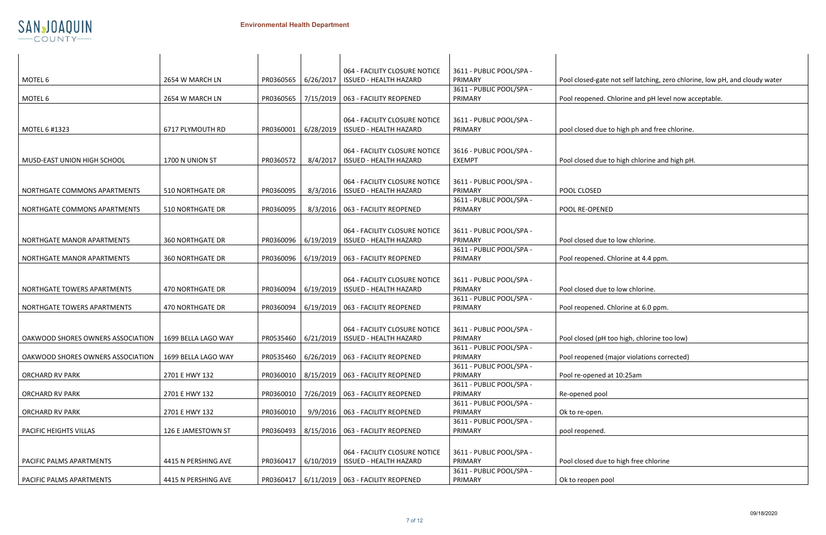

| <b>BLIC POOL/SPA -</b> |                                                                             |
|------------------------|-----------------------------------------------------------------------------|
|                        | Pool closed-gate not self latching, zero chlorine, low pH, and cloudy water |
| <b>BLIC POOL/SPA -</b> |                                                                             |
|                        | Pool reopened. Chlorine and pH level now acceptable.                        |
| <b>BLIC POOL/SPA -</b> |                                                                             |
|                        | pool closed due to high ph and free chlorine.                               |
|                        |                                                                             |
| <b>BLIC POOL/SPA -</b> |                                                                             |
|                        | Pool closed due to high chlorine and high pH.                               |
|                        |                                                                             |
| <b>BLIC POOL/SPA -</b> | POOL CLOSED                                                                 |
| <b>BLIC POOL/SPA -</b> |                                                                             |
|                        | POOL RE-OPENED                                                              |
|                        |                                                                             |
| <b>BLIC POOL/SPA -</b> |                                                                             |
| <b>BLIC POOL/SPA -</b> | Pool closed due to low chlorine.                                            |
|                        | Pool reopened. Chlorine at 4.4 ppm.                                         |
|                        |                                                                             |
| <b>BLIC POOL/SPA -</b> |                                                                             |
|                        | Pool closed due to low chlorine.                                            |
| <b>BLIC POOL/SPA -</b> | Pool reopened. Chlorine at 6.0 ppm.                                         |
|                        |                                                                             |
| <b>BLIC POOL/SPA -</b> |                                                                             |
|                        | Pool closed (pH too high, chlorine too low)                                 |
| <b>BLIC POOL/SPA -</b> |                                                                             |
| BLIC POOL/SPA -        | Pool reopened (major violations corrected)                                  |
|                        | Pool re-opened at 10:25am                                                   |
| <b>BLIC POOL/SPA -</b> |                                                                             |
|                        | Re-opened pool                                                              |
| <b>BLIC POOL/SPA -</b> | Ok to re-open.                                                              |
| <b>BLIC POOL/SPA -</b> |                                                                             |
|                        | pool reopened.                                                              |
|                        |                                                                             |
| <b>BLIC POOL/SPA -</b> |                                                                             |
| <b>BLIC POOL/SPA -</b> | Pool closed due to high free chlorine                                       |
|                        | Ok to reopen pool                                                           |

|                                   |                         |           |           | 064 - FACILITY CLOSURE NOTICE                   | 3611 - PUBLIC POOL/SPA - |                                                           |
|-----------------------------------|-------------------------|-----------|-----------|-------------------------------------------------|--------------------------|-----------------------------------------------------------|
| MOTEL 6                           | 2654 W MARCH LN         | PR0360565 | 6/26/2017 | <b>ISSUED - HEALTH HAZARD</b>                   | PRIMARY                  | Pool closed-gate not self latching, zero chlorine, low pl |
|                                   |                         |           |           |                                                 | 3611 - PUBLIC POOL/SPA - |                                                           |
| MOTEL 6                           | 2654 W MARCH LN         | PR0360565 | 7/15/2019 | 063 - FACILITY REOPENED                         | PRIMARY                  | Pool reopened. Chlorine and pH level now acceptable.      |
|                                   |                         |           |           |                                                 |                          |                                                           |
|                                   |                         |           |           | 064 - FACILITY CLOSURE NOTICE                   | 3611 - PUBLIC POOL/SPA - |                                                           |
| MOTEL 6 #1323                     | 6717 PLYMOUTH RD        | PR0360001 | 6/28/2019 | <b>ISSUED - HEALTH HAZARD</b>                   | PRIMARY                  | pool closed due to high ph and free chlorine.             |
|                                   |                         |           |           |                                                 |                          |                                                           |
|                                   |                         |           |           | 064 - FACILITY CLOSURE NOTICE                   | 3616 - PUBLIC POOL/SPA - |                                                           |
| MUSD-EAST UNION HIGH SCHOOL       | 1700 N UNION ST         | PR0360572 | 8/4/2017  | <b>ISSUED - HEALTH HAZARD</b>                   | <b>EXEMPT</b>            | Pool closed due to high chlorine and high pH.             |
|                                   |                         |           |           |                                                 |                          |                                                           |
|                                   |                         |           |           |                                                 |                          |                                                           |
|                                   |                         |           |           | 064 - FACILITY CLOSURE NOTICE                   | 3611 - PUBLIC POOL/SPA - |                                                           |
| NORTHGATE COMMONS APARTMENTS      | <b>510 NORTHGATE DR</b> | PR0360095 | 8/3/2016  | <b>ISSUED - HEALTH HAZARD</b>                   | PRIMARY                  | POOL CLOSED                                               |
|                                   |                         |           |           |                                                 | 3611 - PUBLIC POOL/SPA - |                                                           |
| NORTHGATE COMMONS APARTMENTS      | 510 NORTHGATE DR        | PR0360095 | 8/3/2016  | 063 - FACILITY REOPENED                         | PRIMARY                  | POOL RE-OPENED                                            |
|                                   |                         |           |           |                                                 |                          |                                                           |
|                                   |                         |           |           | 064 - FACILITY CLOSURE NOTICE                   | 3611 - PUBLIC POOL/SPA - |                                                           |
| NORTHGATE MANOR APARTMENTS        | <b>360 NORTHGATE DR</b> | PR0360096 | 6/19/2019 | <b>ISSUED - HEALTH HAZARD</b>                   | PRIMARY                  | Pool closed due to low chlorine.                          |
|                                   |                         |           |           |                                                 | 3611 - PUBLIC POOL/SPA - |                                                           |
| NORTHGATE MANOR APARTMENTS        | <b>360 NORTHGATE DR</b> | PR0360096 | 6/19/2019 | 063 - FACILITY REOPENED                         | PRIMARY                  | Pool reopened. Chlorine at 4.4 ppm.                       |
|                                   |                         |           |           |                                                 |                          |                                                           |
|                                   |                         |           |           | 064 - FACILITY CLOSURE NOTICE                   | 3611 - PUBLIC POOL/SPA - |                                                           |
| NORTHGATE TOWERS APARTMENTS       | <b>470 NORTHGATE DR</b> | PR0360094 | 6/19/2019 | <b>ISSUED - HEALTH HAZARD</b>                   | PRIMARY                  | Pool closed due to low chlorine.                          |
|                                   |                         |           |           |                                                 | 3611 - PUBLIC POOL/SPA - |                                                           |
| NORTHGATE TOWERS APARTMENTS       | 470 NORTHGATE DR        | PR0360094 |           | 6/19/2019   063 - FACILITY REOPENED             | PRIMARY                  | Pool reopened. Chlorine at 6.0 ppm.                       |
|                                   |                         |           |           |                                                 |                          |                                                           |
|                                   |                         |           |           | 064 - FACILITY CLOSURE NOTICE                   | 3611 - PUBLIC POOL/SPA - |                                                           |
| OAKWOOD SHORES OWNERS ASSOCIATION | 1699 BELLA LAGO WAY     | PR0535460 | 6/21/2019 | <b>ISSUED - HEALTH HAZARD</b>                   | PRIMARY                  | Pool closed (pH too high, chlorine too low)               |
|                                   |                         |           |           |                                                 | 3611 - PUBLIC POOL/SPA - |                                                           |
| OAKWOOD SHORES OWNERS ASSOCIATION | 1699 BELLA LAGO WAY     |           |           | PR0535460   6/26/2019   063 - FACILITY REOPENED | PRIMARY                  | Pool reopened (major violations corrected)                |
|                                   |                         |           |           |                                                 | 3611 - PUBLIC POOL/SPA - |                                                           |
| <b>ORCHARD RV PARK</b>            | 2701 E HWY 132          | PR0360010 |           | 8/15/2019   063 - FACILITY REOPENED             | PRIMARY                  | Pool re-opened at 10:25am                                 |
|                                   |                         |           |           |                                                 | 3611 - PUBLIC POOL/SPA - |                                                           |
| <b>ORCHARD RV PARK</b>            | 2701 E HWY 132          | PR0360010 |           | 7/26/2019   063 - FACILITY REOPENED             | PRIMARY                  | Re-opened pool                                            |
|                                   |                         |           |           |                                                 | 3611 - PUBLIC POOL/SPA - |                                                           |
| <b>ORCHARD RV PARK</b>            | 2701 E HWY 132          | PR0360010 |           | 9/9/2016   063 - FACILITY REOPENED              | PRIMARY                  | Ok to re-open.                                            |
|                                   |                         |           |           |                                                 | 3611 - PUBLIC POOL/SPA - |                                                           |
| PACIFIC HEIGHTS VILLAS            | 126 E JAMESTOWN ST      | PR0360493 |           | 8/15/2016   063 - FACILITY REOPENED             | PRIMARY                  | pool reopened.                                            |
|                                   |                         |           |           |                                                 |                          |                                                           |
|                                   |                         |           |           | 064 - FACILITY CLOSURE NOTICE                   | 3611 - PUBLIC POOL/SPA - |                                                           |
| PACIFIC PALMS APARTMENTS          | 4415 N PERSHING AVE     | PR0360417 | 6/10/2019 | <b>ISSUED - HEALTH HAZARD</b>                   | PRIMARY                  | Pool closed due to high free chlorine                     |
|                                   |                         |           |           |                                                 | 3611 - PUBLIC POOL/SPA - |                                                           |
| PACIFIC PALMS APARTMENTS          | 4415 N PERSHING AVE     |           |           | PR0360417   6/11/2019   063 - FACILITY REOPENED | PRIMARY                  | Ok to reopen pool                                         |
|                                   |                         |           |           |                                                 |                          |                                                           |

 $\perp$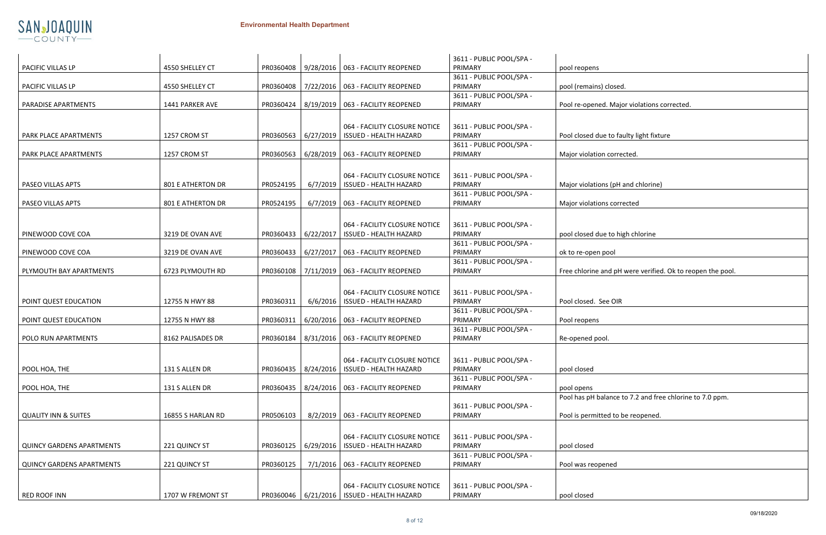

| 4550 SHELLEY CT          |                                                                                                                |           |                                                                                                      | 3611 - PUBLIC POOL/SPA -<br>PRIMARY                                                                                                                                                                                                                                                                                                                                                                                                                                                                                                                                                                                                                                                                                                                                                                                                                                                                                         | pool reopens                                                                                                                                                                                                                                                                                                               |
|--------------------------|----------------------------------------------------------------------------------------------------------------|-----------|------------------------------------------------------------------------------------------------------|-----------------------------------------------------------------------------------------------------------------------------------------------------------------------------------------------------------------------------------------------------------------------------------------------------------------------------------------------------------------------------------------------------------------------------------------------------------------------------------------------------------------------------------------------------------------------------------------------------------------------------------------------------------------------------------------------------------------------------------------------------------------------------------------------------------------------------------------------------------------------------------------------------------------------------|----------------------------------------------------------------------------------------------------------------------------------------------------------------------------------------------------------------------------------------------------------------------------------------------------------------------------|
|                          |                                                                                                                |           |                                                                                                      | 3611 - PUBLIC POOL/SPA -                                                                                                                                                                                                                                                                                                                                                                                                                                                                                                                                                                                                                                                                                                                                                                                                                                                                                                    | pool (remains) closed.                                                                                                                                                                                                                                                                                                     |
|                          |                                                                                                                |           |                                                                                                      | 3611 - PUBLIC POOL/SPA -                                                                                                                                                                                                                                                                                                                                                                                                                                                                                                                                                                                                                                                                                                                                                                                                                                                                                                    | Pool re-opened. Major violations corrected.                                                                                                                                                                                                                                                                                |
|                          |                                                                                                                |           |                                                                                                      |                                                                                                                                                                                                                                                                                                                                                                                                                                                                                                                                                                                                                                                                                                                                                                                                                                                                                                                             |                                                                                                                                                                                                                                                                                                                            |
| 1257 CROM ST             |                                                                                                                |           | 064 - FACILITY CLOSURE NOTICE                                                                        | 3611 - PUBLIC POOL/SPA -<br>PRIMARY                                                                                                                                                                                                                                                                                                                                                                                                                                                                                                                                                                                                                                                                                                                                                                                                                                                                                         | Pool closed due to faulty light fixture                                                                                                                                                                                                                                                                                    |
| 1257 CROM ST             | PR0360563                                                                                                      |           |                                                                                                      | PRIMARY                                                                                                                                                                                                                                                                                                                                                                                                                                                                                                                                                                                                                                                                                                                                                                                                                                                                                                                     | Major violation corrected.                                                                                                                                                                                                                                                                                                 |
|                          |                                                                                                                |           | 064 - FACILITY CLOSURE NOTICE                                                                        | 3611 - PUBLIC POOL/SPA -                                                                                                                                                                                                                                                                                                                                                                                                                                                                                                                                                                                                                                                                                                                                                                                                                                                                                                    |                                                                                                                                                                                                                                                                                                                            |
| <b>801 E ATHERTON DR</b> | PR0524195                                                                                                      |           |                                                                                                      | PRIMARY                                                                                                                                                                                                                                                                                                                                                                                                                                                                                                                                                                                                                                                                                                                                                                                                                                                                                                                     | Major violations (pH and chlorine)                                                                                                                                                                                                                                                                                         |
| 801 E ATHERTON DR        | PR0524195                                                                                                      |           |                                                                                                      | PRIMARY                                                                                                                                                                                                                                                                                                                                                                                                                                                                                                                                                                                                                                                                                                                                                                                                                                                                                                                     | Major violations corrected                                                                                                                                                                                                                                                                                                 |
|                          |                                                                                                                |           |                                                                                                      |                                                                                                                                                                                                                                                                                                                                                                                                                                                                                                                                                                                                                                                                                                                                                                                                                                                                                                                             |                                                                                                                                                                                                                                                                                                                            |
|                          |                                                                                                                |           | 064 - FACILITY CLOSURE NOTICE                                                                        | 3611 - PUBLIC POOL/SPA -                                                                                                                                                                                                                                                                                                                                                                                                                                                                                                                                                                                                                                                                                                                                                                                                                                                                                                    | pool closed due to high chlorine                                                                                                                                                                                                                                                                                           |
|                          |                                                                                                                |           |                                                                                                      | 3611 - PUBLIC POOL/SPA -                                                                                                                                                                                                                                                                                                                                                                                                                                                                                                                                                                                                                                                                                                                                                                                                                                                                                                    |                                                                                                                                                                                                                                                                                                                            |
|                          |                                                                                                                |           |                                                                                                      |                                                                                                                                                                                                                                                                                                                                                                                                                                                                                                                                                                                                                                                                                                                                                                                                                                                                                                                             | ok to re-open pool                                                                                                                                                                                                                                                                                                         |
| 6723 PLYMOUTH RD         |                                                                                                                |           |                                                                                                      | PRIMARY                                                                                                                                                                                                                                                                                                                                                                                                                                                                                                                                                                                                                                                                                                                                                                                                                                                                                                                     | Free chlorine and pH were verified. Ok to rec                                                                                                                                                                                                                                                                              |
|                          |                                                                                                                |           |                                                                                                      |                                                                                                                                                                                                                                                                                                                                                                                                                                                                                                                                                                                                                                                                                                                                                                                                                                                                                                                             |                                                                                                                                                                                                                                                                                                                            |
| 12755 N HWY 88           | PR0360311                                                                                                      |           |                                                                                                      | PRIMARY                                                                                                                                                                                                                                                                                                                                                                                                                                                                                                                                                                                                                                                                                                                                                                                                                                                                                                                     | Pool closed. See OIR                                                                                                                                                                                                                                                                                                       |
|                          |                                                                                                                |           |                                                                                                      | 3611 - PUBLIC POOL/SPA -                                                                                                                                                                                                                                                                                                                                                                                                                                                                                                                                                                                                                                                                                                                                                                                                                                                                                                    |                                                                                                                                                                                                                                                                                                                            |
|                          |                                                                                                                |           |                                                                                                      | 3611 - PUBLIC POOL/SPA -                                                                                                                                                                                                                                                                                                                                                                                                                                                                                                                                                                                                                                                                                                                                                                                                                                                                                                    | Pool reopens                                                                                                                                                                                                                                                                                                               |
| 8162 PALISADES DR        | PR0360184                                                                                                      |           |                                                                                                      | PRIMARY                                                                                                                                                                                                                                                                                                                                                                                                                                                                                                                                                                                                                                                                                                                                                                                                                                                                                                                     | Re-opened pool.                                                                                                                                                                                                                                                                                                            |
|                          |                                                                                                                |           |                                                                                                      |                                                                                                                                                                                                                                                                                                                                                                                                                                                                                                                                                                                                                                                                                                                                                                                                                                                                                                                             |                                                                                                                                                                                                                                                                                                                            |
| 131 S ALLEN DR           |                                                                                                                |           |                                                                                                      | PRIMARY                                                                                                                                                                                                                                                                                                                                                                                                                                                                                                                                                                                                                                                                                                                                                                                                                                                                                                                     | pool closed                                                                                                                                                                                                                                                                                                                |
|                          |                                                                                                                |           |                                                                                                      |                                                                                                                                                                                                                                                                                                                                                                                                                                                                                                                                                                                                                                                                                                                                                                                                                                                                                                                             | pool opens                                                                                                                                                                                                                                                                                                                 |
|                          |                                                                                                                |           |                                                                                                      |                                                                                                                                                                                                                                                                                                                                                                                                                                                                                                                                                                                                                                                                                                                                                                                                                                                                                                                             | Pool has pH balance to 7.2 and free chlorine                                                                                                                                                                                                                                                                               |
| 16855 S HARLAN RD        | PR0506103                                                                                                      |           |                                                                                                      | PRIMARY                                                                                                                                                                                                                                                                                                                                                                                                                                                                                                                                                                                                                                                                                                                                                                                                                                                                                                                     | Pool is permitted to be reopened.                                                                                                                                                                                                                                                                                          |
|                          |                                                                                                                |           |                                                                                                      |                                                                                                                                                                                                                                                                                                                                                                                                                                                                                                                                                                                                                                                                                                                                                                                                                                                                                                                             |                                                                                                                                                                                                                                                                                                                            |
| 221 QUINCY ST            | PR0360125                                                                                                      |           |                                                                                                      | PRIMARY                                                                                                                                                                                                                                                                                                                                                                                                                                                                                                                                                                                                                                                                                                                                                                                                                                                                                                                     | pool closed                                                                                                                                                                                                                                                                                                                |
| 221 QUINCY ST            | PR0360125                                                                                                      |           |                                                                                                      | 3611 - PUBLIC POOL/SPA -<br>PRIMARY                                                                                                                                                                                                                                                                                                                                                                                                                                                                                                                                                                                                                                                                                                                                                                                                                                                                                         | Pool was reopened                                                                                                                                                                                                                                                                                                          |
|                          |                                                                                                                |           |                                                                                                      |                                                                                                                                                                                                                                                                                                                                                                                                                                                                                                                                                                                                                                                                                                                                                                                                                                                                                                                             |                                                                                                                                                                                                                                                                                                                            |
| 1707 W FREMONT ST        |                                                                                                                |           |                                                                                                      | PRIMARY                                                                                                                                                                                                                                                                                                                                                                                                                                                                                                                                                                                                                                                                                                                                                                                                                                                                                                                     | pool closed                                                                                                                                                                                                                                                                                                                |
|                          | 4550 SHELLEY CT<br>1441 PARKER AVE<br>3219 DE OVAN AVE<br>3219 DE OVAN AVE<br>12755 N HWY 88<br>131 S ALLEN DR | PR0360311 | PR0360408<br>PR0360408<br>6/22/2017<br>PR0360433<br>PR0360433<br>PR0360108<br>PR0360435<br>PR0360435 | 9/28/2016   063 - FACILITY REOPENED<br>7/22/2016   063 - FACILITY REOPENED<br>PR0360424   8/19/2019   063 - FACILITY REOPENED<br>PR0360563   6/27/2019   ISSUED - HEALTH HAZARD<br>6/28/2019   063 - FACILITY REOPENED<br>6/7/2019   ISSUED - HEALTH HAZARD<br>$6/7/2019$   063 - FACILITY REOPENED<br><b>ISSUED - HEALTH HAZARD</b><br>6/27/2017<br>063 - FACILITY REOPENED<br>7/11/2019   063 - FACILITY REOPENED<br>064 - FACILITY CLOSURE NOTICE<br>6/6/2016   ISSUED - HEALTH HAZARD<br>6/20/2016   063 - FACILITY REOPENED<br>8/31/2016   063 - FACILITY REOPENED<br>064 - FACILITY CLOSURE NOTICE<br>8/24/2016   ISSUED - HEALTH HAZARD<br>8/24/2016   063 - FACILITY REOPENED<br>8/2/2019   063 - FACILITY REOPENED<br>064 - FACILITY CLOSURE NOTICE<br>6/29/2016   ISSUED - HEALTH HAZARD<br>7/1/2016   063 - FACILITY REOPENED<br>064 - FACILITY CLOSURE NOTICE<br>PR0360046   6/21/2016   ISSUED - HEALTH HAZARD | PRIMARY<br>PRIMARY<br>3611 - PUBLIC POOL/SPA -<br>3611 - PUBLIC POOL/SPA -<br>PRIMARY<br>PRIMARY<br>3611 - PUBLIC POOL/SPA -<br>3611 - PUBLIC POOL/SPA -<br>PRIMARY<br>3611 - PUBLIC POOL/SPA -<br>3611 - PUBLIC POOL/SPA -<br>PRIMARY<br>3611 - PUBLIC POOL/SPA -<br>3611 - PUBLIC POOL/SPA -<br>3611 - PUBLIC POOL/SPA - |

|                        | pool reopens                                               |
|------------------------|------------------------------------------------------------|
| <b>BLIC POOL/SPA -</b> |                                                            |
|                        | pool (remains) closed.                                     |
| <b>BLIC POOL/SPA -</b> |                                                            |
|                        | Pool re-opened. Major violations corrected.                |
|                        |                                                            |
| <b>BLIC POOL/SPA -</b> |                                                            |
|                        | Pool closed due to faulty light fixture                    |
| <b>BLIC POOL/SPA -</b> |                                                            |
|                        | Major violation corrected.                                 |
|                        |                                                            |
|                        |                                                            |
| <b>BLIC POOL/SPA -</b> |                                                            |
| <b>BLIC POOL/SPA -</b> | Major violations (pH and chlorine)                         |
|                        | Major violations corrected                                 |
|                        |                                                            |
|                        |                                                            |
| <b>BLIC POOL/SPA -</b> |                                                            |
|                        | pool closed due to high chlorine                           |
| <b>BLIC POOL/SPA -</b> |                                                            |
|                        | ok to re-open pool                                         |
| <b>BLIC POOL/SPA -</b> |                                                            |
|                        | Free chlorine and pH were verified. Ok to reopen the pool. |
|                        |                                                            |
| <b>BLIC POOL/SPA -</b> |                                                            |
|                        | Pool closed. See OIR                                       |
| <b>BLIC POOL/SPA -</b> |                                                            |
|                        | Pool reopens                                               |
| <b>BLIC POOL/SPA -</b> |                                                            |
|                        | Re-opened pool.                                            |
|                        |                                                            |
| <b>BLIC POOL/SPA -</b> |                                                            |
|                        | pool closed                                                |
| <b>BLIC POOL/SPA -</b> |                                                            |
|                        | pool opens                                                 |
|                        | Pool has pH balance to 7.2 and free chlorine to 7.0 ppm.   |
| <b>BLIC POOL/SPA -</b> |                                                            |
|                        | Pool is permitted to be reopened.                          |
|                        |                                                            |
| <b>BLIC POOL/SPA -</b> |                                                            |
|                        | pool closed                                                |
| <b>BLIC POOL/SPA -</b> |                                                            |
|                        | Pool was reopened                                          |
|                        |                                                            |
| <b>BLIC POOL/SPA -</b> |                                                            |
|                        |                                                            |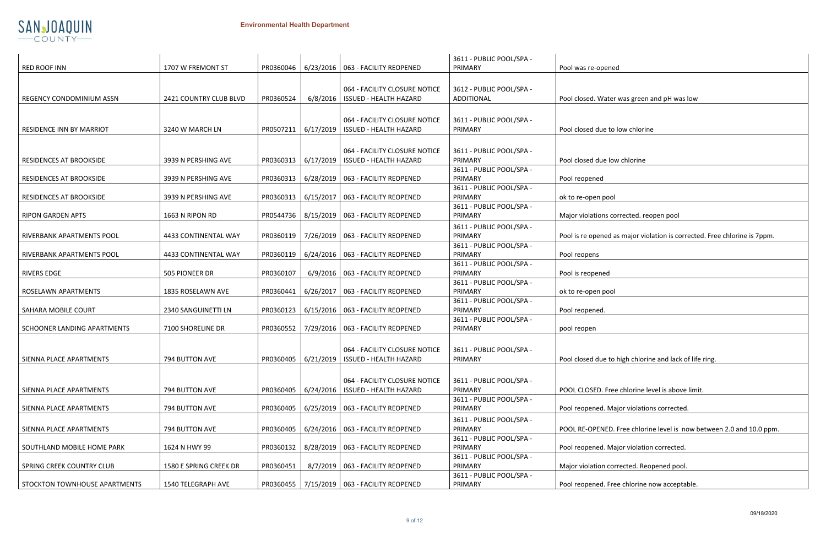## ened



|                                 |                        |           |           |                                                 | 3611 - PUBLIC POOL/SPA - |                                                        |
|---------------------------------|------------------------|-----------|-----------|-------------------------------------------------|--------------------------|--------------------------------------------------------|
| <b>RED ROOF INN</b>             | 1707 W FREMONT ST      | PR0360046 | 6/23/2016 | 063 - FACILITY REOPENED                         | PRIMARY                  | Pool was re-opened                                     |
|                                 |                        |           |           |                                                 |                          |                                                        |
|                                 |                        |           |           | 064 - FACILITY CLOSURE NOTICE                   | 3612 - PUBLIC POOL/SPA - |                                                        |
| REGENCY CONDOMINIUM ASSN        | 2421 COUNTRY CLUB BLVD | PR0360524 | 6/8/2016  | <b>ISSUED - HEALTH HAZARD</b>                   | ADDITIONAL               | Pool closed. Water was green and pH was low            |
|                                 |                        |           |           |                                                 |                          |                                                        |
|                                 |                        |           |           |                                                 |                          |                                                        |
|                                 |                        |           |           | 064 - FACILITY CLOSURE NOTICE                   | 3611 - PUBLIC POOL/SPA - |                                                        |
| <b>RESIDENCE INN BY MARRIOT</b> | 3240 W MARCH LN        | PR0507211 | 6/17/2019 | <b>ISSUED - HEALTH HAZARD</b>                   | PRIMARY                  | Pool closed due to low chlorine                        |
|                                 |                        |           |           |                                                 |                          |                                                        |
|                                 |                        |           |           | 064 - FACILITY CLOSURE NOTICE                   | 3611 - PUBLIC POOL/SPA - |                                                        |
| RESIDENCES AT BROOKSIDE         | 3939 N PERSHING AVE    | PR0360313 | 6/17/2019 | ISSUED - HEALTH HAZARD                          | PRIMARY                  | Pool closed due low chlorine                           |
|                                 |                        |           |           |                                                 | 3611 - PUBLIC POOL/SPA - |                                                        |
| <b>RESIDENCES AT BROOKSIDE</b>  | 3939 N PERSHING AVE    | PR0360313 | 6/28/2019 | 063 - FACILITY REOPENED                         | PRIMARY                  | Pool reopened                                          |
|                                 |                        |           |           |                                                 | 3611 - PUBLIC POOL/SPA - |                                                        |
| RESIDENCES AT BROOKSIDE         | 3939 N PERSHING AVE    | PR0360313 | 6/15/2017 | 063 - FACILITY REOPENED                         | PRIMARY                  | ok to re-open pool                                     |
|                                 |                        |           |           |                                                 | 3611 - PUBLIC POOL/SPA - |                                                        |
| RIPON GARDEN APTS               | 1663 N RIPON RD        | PR0544736 | 8/15/2019 | 063 - FACILITY REOPENED                         | PRIMARY                  | Major violations corrected. reopen pool                |
|                                 |                        |           |           |                                                 | 3611 - PUBLIC POOL/SPA - |                                                        |
| RIVERBANK APARTMENTS POOL       | 4433 CONTINENTAL WAY   | PR0360119 | 7/26/2019 | 063 - FACILITY REOPENED                         | PRIMARY                  | Pool is re opened as major violation is corrected. Fre |
|                                 |                        |           |           |                                                 | 3611 - PUBLIC POOL/SPA - |                                                        |
| RIVERBANK APARTMENTS POOL       | 4433 CONTINENTAL WAY   | PR0360119 |           | 6/24/2016   063 - FACILITY REOPENED             | PRIMARY                  | Pool reopens                                           |
|                                 |                        |           |           |                                                 | 3611 - PUBLIC POOL/SPA - |                                                        |
| <b>RIVERS EDGE</b>              | 505 PIONEER DR         | PR0360107 |           | 6/9/2016   063 - FACILITY REOPENED              | PRIMARY                  | Pool is reopened                                       |
|                                 |                        |           |           |                                                 | 3611 - PUBLIC POOL/SPA - |                                                        |
| ROSELAWN APARTMENTS             | 1835 ROSELAWN AVE      | PR0360441 | 6/26/2017 | 063 - FACILITY REOPENED                         | PRIMARY                  | ok to re-open pool                                     |
|                                 |                        |           |           |                                                 | 3611 - PUBLIC POOL/SPA - |                                                        |
| SAHARA MOBILE COURT             | 2340 SANGUINETTI LN    | PR0360123 | 6/15/2016 | 063 - FACILITY REOPENED                         | PRIMARY                  | Pool reopened.                                         |
|                                 |                        |           |           |                                                 | 3611 - PUBLIC POOL/SPA - |                                                        |
| SCHOONER LANDING APARTMENTS     | 7100 SHORELINE DR      | PR0360552 | 7/29/2016 | 063 - FACILITY REOPENED                         | PRIMARY                  | pool reopen                                            |
|                                 |                        |           |           |                                                 |                          |                                                        |
|                                 |                        |           |           | 064 - FACILITY CLOSURE NOTICE                   | 3611 - PUBLIC POOL/SPA - |                                                        |
| SIENNA PLACE APARTMENTS         | 794 BUTTON AVE         | PR0360405 | 6/21/2019 | ISSUED - HEALTH HAZARD                          | PRIMARY                  | Pool closed due to high chlorine and lack of life ring |
|                                 |                        |           |           |                                                 |                          |                                                        |
|                                 |                        |           |           | 064 - FACILITY CLOSURE NOTICE                   | 3611 - PUBLIC POOL/SPA - |                                                        |
| SIENNA PLACE APARTMENTS         | 794 BUTTON AVE         | PR0360405 | 6/24/2016 | <b>ISSUED - HEALTH HAZARD</b>                   | PRIMARY                  | POOL CLOSED. Free chlorine level is above limit.       |
|                                 |                        |           |           |                                                 | 3611 - PUBLIC POOL/SPA - |                                                        |
| SIENNA PLACE APARTMENTS         | 794 BUTTON AVE         | PR0360405 | 6/25/2019 | 063 - FACILITY REOPENED                         | PRIMARY                  | Pool reopened. Major violations corrected.             |
|                                 |                        |           |           |                                                 | 3611 - PUBLIC POOL/SPA - |                                                        |
| SIENNA PLACE APARTMENTS         | 794 BUTTON AVE         | PR0360405 |           | 6/24/2016   063 - FACILITY REOPENED             | PRIMARY                  | POOL RE-OPENED. Free chlorine level is now betwe       |
|                                 |                        |           |           |                                                 | 3611 - PUBLIC POOL/SPA - |                                                        |
| SOUTHLAND MOBILE HOME PARK      | 1624 N HWY 99          | PR0360132 |           | 8/28/2019   063 - FACILITY REOPENED             | PRIMARY                  | Pool reopened. Major violation corrected.              |
|                                 |                        |           |           |                                                 | 3611 - PUBLIC POOL/SPA - |                                                        |
| SPRING CREEK COUNTRY CLUB       | 1580 E SPRING CREEK DR | PR0360451 |           | 8/7/2019   063 - FACILITY REOPENED              | PRIMARY                  | Major violation corrected. Reopened pool.              |
|                                 |                        |           |           |                                                 | 3611 - PUBLIC POOL/SPA - |                                                        |
| STOCKTON TOWNHOUSE APARTMENTS   | 1540 TELEGRAPH AVE     |           |           | PR0360455   7/15/2019   063 - FACILITY REOPENED | PRIMARY                  | Pool reopened. Free chlorine now acceptable.           |
|                                 |                        |           |           |                                                 |                          |                                                        |

| <b>BLIC POOL/SPA -</b> |                                                                           |
|------------------------|---------------------------------------------------------------------------|
| JAL                    | Pool closed. Water was green and pH was low                               |
|                        |                                                                           |
| <b>BLIC POOL/SPA -</b> | Pool closed due to low chlorine                                           |
|                        |                                                                           |
| <b>BLIC POOL/SPA -</b> |                                                                           |
|                        | Pool closed due low chlorine                                              |
| <b>BLIC POOL/SPA -</b> |                                                                           |
|                        | Pool reopened                                                             |
| <b>BLIC POOL/SPA -</b> |                                                                           |
| <b>BLIC POOL/SPA -</b> | ok to re-open pool                                                        |
|                        | Major violations corrected. reopen pool                                   |
| <b>BLIC POOL/SPA -</b> |                                                                           |
|                        | Pool is re opened as major violation is corrected. Free chlorine is 7ppm. |
| <b>BLIC POOL/SPA -</b> |                                                                           |
| <b>BLIC POOL/SPA -</b> | Pool reopens                                                              |
|                        | Pool is reopened                                                          |
| <b>BLIC POOL/SPA -</b> |                                                                           |
|                        | ok to re-open pool                                                        |
| <b>BLIC POOL/SPA -</b> |                                                                           |
|                        | Pool reopened.                                                            |
| <b>BLIC POOL/SPA -</b> | pool reopen                                                               |
|                        |                                                                           |
| <b>BLIC POOL/SPA -</b> |                                                                           |
|                        | Pool closed due to high chlorine and lack of life ring.                   |
|                        |                                                                           |
| BLIC POOL/SPA -        |                                                                           |
|                        | POOL CLOSED. Free chlorine level is above limit.                          |
| <b>BLIC POOL/SPA -</b> |                                                                           |
|                        | Pool reopened. Major violations corrected.                                |
| <b>BLIC POOL/SPA -</b> |                                                                           |
| <b>BLIC POOL/SPA -</b> | POOL RE-OPENED. Free chlorine level is now between 2.0 and 10.0 ppm.      |
|                        | Pool reopened. Major violation corrected.                                 |
| <b>BLIC POOL/SPA -</b> |                                                                           |
|                        | Major violation corrected. Reopened pool.                                 |
| <b>BLIC POOL/SPA -</b> |                                                                           |
|                        | Pool reopened. Free chlorine now acceptable.                              |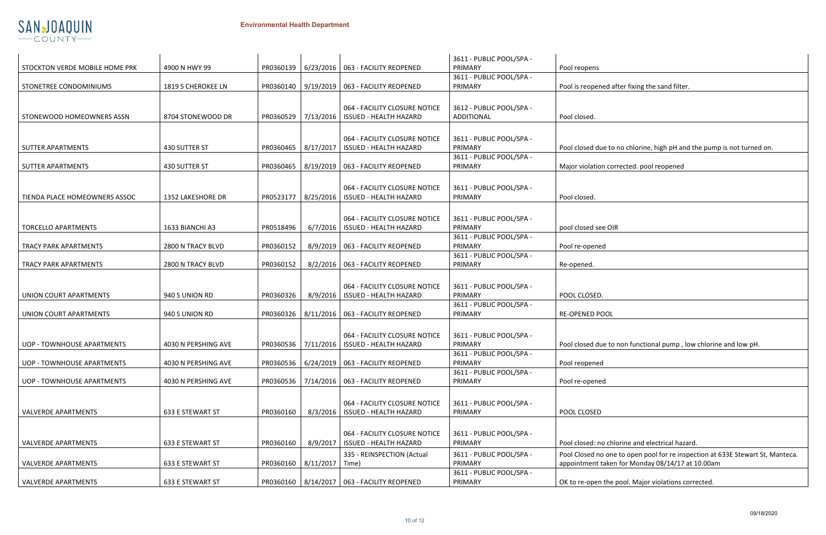| <b>BLIC POOL/SPA -</b> |                                                                                |
|------------------------|--------------------------------------------------------------------------------|
|                        | Pool reopens                                                                   |
| <b>BLIC POOL/SPA -</b> |                                                                                |
|                        | Pool is reopened after fixing the sand filter.                                 |
|                        |                                                                                |
| <b>BLIC POOL/SPA -</b> |                                                                                |
| JAL                    | Pool closed.                                                                   |
|                        |                                                                                |
| <b>BLIC POOL/SPA -</b> |                                                                                |
|                        | Pool closed due to no chlorine, high pH and the pump is not turned on.         |
| <b>BLIC POOL/SPA -</b> |                                                                                |
|                        | Major violation corrected. pool reopened                                       |
|                        |                                                                                |
| <b>BLIC POOL/SPA -</b> | Pool closed.                                                                   |
|                        |                                                                                |
|                        |                                                                                |
| <b>BLIC POOL/SPA -</b> | pool closed see OIR                                                            |
| <b>BLIC POOL/SPA -</b> |                                                                                |
|                        | Pool re-opened                                                                 |
| <b>BLIC POOL/SPA -</b> |                                                                                |
|                        | Re-opened.                                                                     |
|                        |                                                                                |
| <b>BLIC POOL/SPA -</b> |                                                                                |
|                        | POOL CLOSED.                                                                   |
| <b>BLIC POOL/SPA -</b> |                                                                                |
|                        | <b>RE-OPENED POOL</b>                                                          |
|                        |                                                                                |
| <b>BLIC POOL/SPA -</b> |                                                                                |
|                        | Pool closed due to non functional pump, low chlorine and low pH.               |
| <b>BLIC POOL/SPA -</b> | Pool reopened                                                                  |
| <b>BLIC POOL/SPA -</b> |                                                                                |
|                        | Pool re-opened                                                                 |
|                        |                                                                                |
| <b>BLIC POOL/SPA -</b> |                                                                                |
|                        | POOL CLOSED                                                                    |
|                        |                                                                                |
| <b>BLIC POOL/SPA -</b> |                                                                                |
|                        | Pool closed: no chlorine and electrical hazard.                                |
| <b>BLIC POOL/SPA -</b> | Pool Closed no one to open pool for re inspection at 633E Stewart St, Manteca. |
|                        | appointment taken for Monday 08/14/17 at 10.00am                               |
| <b>BLIC POOL/SPA -</b> |                                                                                |
|                        | OK to re-open the pool. Major violations corrected.                            |



|                                |                     |           |           |                                     | 3611 - PUBLIC POOL/SPA - |                                                                                                |
|--------------------------------|---------------------|-----------|-----------|-------------------------------------|--------------------------|------------------------------------------------------------------------------------------------|
| STOCKTON VERDE MOBILE HOME PRK | 4900 N HWY 99       | PR0360139 |           | 6/23/2016   063 - FACILITY REOPENED | PRIMARY                  | Pool reopens                                                                                   |
|                                |                     |           |           |                                     | 3611 - PUBLIC POOL/SPA - |                                                                                                |
| STONETREE CONDOMINIUMS         | 1819 S CHEROKEE LN  | PR0360140 |           | 9/19/2019   063 - FACILITY REOPENED | PRIMARY                  | Pool is reopened after fixing the sand filter.                                                 |
|                                |                     |           |           |                                     |                          |                                                                                                |
|                                |                     |           |           | 064 - FACILITY CLOSURE NOTICE       | 3612 - PUBLIC POOL/SPA - |                                                                                                |
| STONEWOOD HOMEOWNERS ASSN      | 8704 STONEWOOD DR   | PR0360529 | 7/13/2016 | <b>ISSUED - HEALTH HAZARD</b>       | <b>ADDITIONAL</b>        | Pool closed.                                                                                   |
|                                |                     |           |           |                                     |                          |                                                                                                |
|                                |                     |           |           |                                     |                          |                                                                                                |
|                                |                     |           |           | 064 - FACILITY CLOSURE NOTICE       | 3611 - PUBLIC POOL/SPA - |                                                                                                |
| <b>SUTTER APARTMENTS</b>       | 430 SUTTER ST       | PR0360465 | 8/17/2017 | <b>ISSUED - HEALTH HAZARD</b>       | PRIMARY                  | Pool closed due to no chlorine, high pH and the                                                |
|                                |                     |           |           |                                     | 3611 - PUBLIC POOL/SPA - |                                                                                                |
| <b>SUTTER APARTMENTS</b>       | 430 SUTTER ST       | PR0360465 |           | 8/19/2019   063 - FACILITY REOPENED | PRIMARY                  | Major violation corrected. pool reopened                                                       |
|                                |                     |           |           |                                     |                          |                                                                                                |
|                                |                     |           |           | 064 - FACILITY CLOSURE NOTICE       | 3611 - PUBLIC POOL/SPA - |                                                                                                |
| TIENDA PLACE HOMEOWNERS ASSOC  | 1352 LAKESHORE DR   | PR0523177 | 8/25/2016 | <b>ISSUED - HEALTH HAZARD</b>       | PRIMARY                  | Pool closed                                                                                    |
|                                |                     |           |           |                                     |                          |                                                                                                |
|                                |                     |           |           | 064 - FACILITY CLOSURE NOTICE       | 3611 - PUBLIC POOL/SPA - |                                                                                                |
| <b>TORCELLO APARTMENTS</b>     | 1633 BIANCHI A3     | PR0518496 | 6/7/2016  | <b>ISSUED - HEALTH HAZARD</b>       | PRIMARY                  | pool closed see OIR                                                                            |
|                                |                     |           |           |                                     | 3611 - PUBLIC POOL/SPA - |                                                                                                |
| <b>TRACY PARK APARTMENTS</b>   | 2800 N TRACY BLVD   | PR0360152 |           | 8/9/2019   063 - FACILITY REOPENED  | PRIMARY                  | Pool re-opened                                                                                 |
|                                |                     |           |           |                                     | 3611 - PUBLIC POOL/SPA - |                                                                                                |
| <b>TRACY PARK APARTMENTS</b>   | 2800 N TRACY BLVD   | PR0360152 |           | 8/2/2016   063 - FACILITY REOPENED  | PRIMARY                  | Re-opened.                                                                                     |
|                                |                     |           |           |                                     |                          |                                                                                                |
|                                |                     |           |           | 064 - FACILITY CLOSURE NOTICE       | 3611 - PUBLIC POOL/SPA - |                                                                                                |
| <b>UNION COURT APARTMENTS</b>  | 940 S UNION RD      | PR0360326 | 8/9/2016  | <b>ISSUED - HEALTH HAZARD</b>       | PRIMARY                  | POOL CLOSED.                                                                                   |
|                                |                     |           |           |                                     | 3611 - PUBLIC POOL/SPA - |                                                                                                |
| UNION COURT APARTMENTS         | 940 S UNION RD      | PR0360326 |           | 8/11/2016   063 - FACILITY REOPENED | PRIMARY                  | <b>RE-OPENED POOL</b>                                                                          |
|                                |                     |           |           |                                     |                          |                                                                                                |
|                                |                     |           |           |                                     |                          |                                                                                                |
|                                |                     |           |           | 064 - FACILITY CLOSURE NOTICE       | 3611 - PUBLIC POOL/SPA - |                                                                                                |
| UOP - TOWNHOUSE APARTMENTS     | 4030 N PERSHING AVE | PR0360536 | 7/11/2016 | <b>ISSUED - HEALTH HAZARD</b>       | PRIMARY                  | Pool closed due to non functional pump, low or                                                 |
|                                |                     |           |           |                                     | 3611 - PUBLIC POOL/SPA - |                                                                                                |
| UOP - TOWNHOUSE APARTMENTS     | 4030 N PERSHING AVE | PR0360536 |           | 6/24/2019   063 - FACILITY REOPENED | PRIMARY                  | Pool reopened                                                                                  |
|                                |                     |           |           |                                     | 3611 - PUBLIC POOL/SPA - |                                                                                                |
| UOP - TOWNHOUSE APARTMENTS     | 4030 N PERSHING AVE | PR0360536 |           | 7/14/2016   063 - FACILITY REOPENED | PRIMARY                  | Pool re-opened                                                                                 |
|                                |                     |           |           |                                     |                          |                                                                                                |
|                                |                     |           |           | 064 - FACILITY CLOSURE NOTICE       | 3611 - PUBLIC POOL/SPA - |                                                                                                |
| <b>VALVERDE APARTMENTS</b>     | 633 E STEWART ST    | PR0360160 | 8/3/2016  | <b>ISSUED - HEALTH HAZARD</b>       | PRIMARY                  | POOL CLOSED                                                                                    |
|                                |                     |           |           |                                     |                          |                                                                                                |
|                                |                     |           |           | 064 - FACILITY CLOSURE NOTICE       | 3611 - PUBLIC POOL/SPA - |                                                                                                |
| <b>VALVERDE APARTMENTS</b>     | 633 E STEWART ST    | PR0360160 | 8/9/2017  | <b>ISSUED - HEALTH HAZARD</b>       | PRIMARY                  | Pool closed: no chlorine and electrical hazard.                                                |
|                                |                     |           |           |                                     | 3611 - PUBLIC POOL/SPA - |                                                                                                |
| <b>VALVERDE APARTMENTS</b>     | 633 E STEWART ST    | PR0360160 | 8/11/2017 | 335 - REINSPECTION (Actual<br>Time) | PRIMARY                  | Pool Closed no one to open pool for re inspecti<br>appointment taken for Monday 08/14/17 at 10 |
|                                |                     |           |           |                                     |                          |                                                                                                |
|                                |                     |           |           | 8/14/2017   063 - FACILITY REOPENED | 3611 - PUBLIC POOL/SPA - |                                                                                                |
| VALVERDE APARTMENTS            | 633 E STEWART ST    | PR0360160 |           |                                     | PRIMARY                  | OK to re-open the pool. Major violations corred                                                |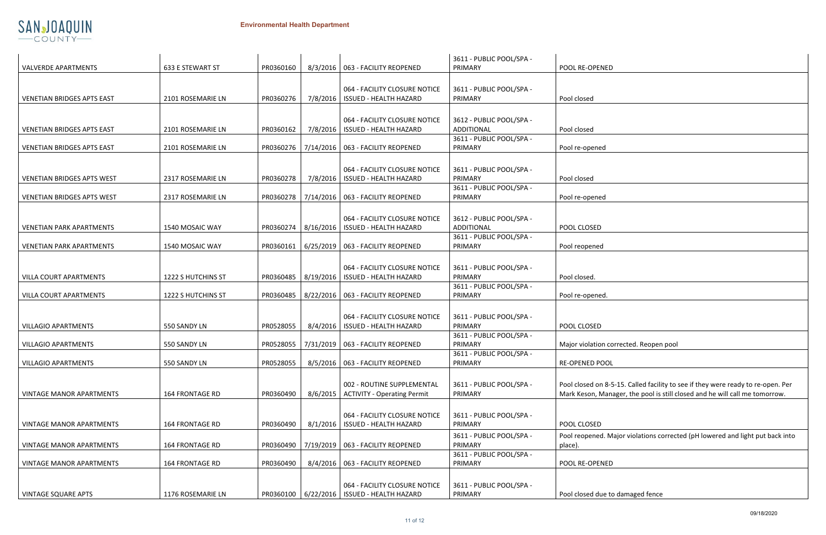| ł |
|---|

n corrected. Reopen pool

8-5-15. Called facility to see if they were ready to re-open. Per lanager, the pool is still closed and he will call me tomorrow.

. Major violations corrected (pH lowered and light put back into

e to damaged fence



|                                   |                        |           |                       |                                                                  | 3611 - PUBLIC POOL/SPA -                      |                                        |
|-----------------------------------|------------------------|-----------|-----------------------|------------------------------------------------------------------|-----------------------------------------------|----------------------------------------|
| <b>VALVERDE APARTMENTS</b>        | 633 E STEWART ST       | PR0360160 | 8/3/2016              | 063 - FACILITY REOPENED                                          | PRIMARY                                       | POOL RE-OPENED                         |
| <b>VENETIAN BRIDGES APTS EAST</b> | 2101 ROSEMARIE LN      | PR0360276 | 7/8/2016              | 064 - FACILITY CLOSURE NOTICE<br><b>ISSUED - HEALTH HAZARD</b>   | 3611 - PUBLIC POOL/SPA -<br>PRIMARY           | Pool closed                            |
| <b>VENETIAN BRIDGES APTS EAST</b> | 2101 ROSEMARIE LN      | PR0360162 | 7/8/2016              | 064 - FACILITY CLOSURE NOTICE<br><b>ISSUED - HEALTH HAZARD</b>   | 3612 - PUBLIC POOL/SPA -<br><b>ADDITIONAL</b> | Pool closed                            |
| VENETIAN BRIDGES APTS EAST        | 2101 ROSEMARIE LN      | PR0360276 | 7/14/2016             | 063 - FACILITY REOPENED                                          | 3611 - PUBLIC POOL/SPA -<br>PRIMARY           | Pool re-opened                         |
| <b>VENETIAN BRIDGES APTS WEST</b> | 2317 ROSEMARIE LN      | PR0360278 | 7/8/2016              | 064 - FACILITY CLOSURE NOTICE<br><b>ISSUED - HEALTH HAZARD</b>   | 3611 - PUBLIC POOL/SPA -<br>PRIMARY           | Pool closed                            |
| <b>VENETIAN BRIDGES APTS WEST</b> | 2317 ROSEMARIE LN      | PR0360278 | 7/14/2016             | 063 - FACILITY REOPENED                                          | 3611 - PUBLIC POOL/SPA -<br>PRIMARY           | Pool re-opened                         |
| <b>VENETIAN PARK APARTMENTS</b>   | 1540 MOSAIC WAY        | PR0360274 | 8/16/2016             | 064 - FACILITY CLOSURE NOTICE<br><b>ISSUED - HEALTH HAZARD</b>   | 3612 - PUBLIC POOL/SPA -<br><b>ADDITIONAL</b> | POOL CLOSED                            |
| <b>VENETIAN PARK APARTMENTS</b>   | 1540 MOSAIC WAY        | PR0360161 | 6/25/2019             | 063 - FACILITY REOPENED                                          | 3611 - PUBLIC POOL/SPA -<br>PRIMARY           | Pool reopened                          |
| <b>VILLA COURT APARTMENTS</b>     | 1222 S HUTCHINS ST     | PR0360485 | 8/19/2016             | 064 - FACILITY CLOSURE NOTICE<br><b>ISSUED - HEALTH HAZARD</b>   | 3611 - PUBLIC POOL/SPA -<br>PRIMARY           | Pool closed.                           |
| <b>VILLA COURT APARTMENTS</b>     | 1222 S HUTCHINS ST     | PR0360485 | 8/22/2016             | 063 - FACILITY REOPENED                                          | 3611 - PUBLIC POOL/SPA -<br>PRIMARY           | Pool re-opened.                        |
| <b>VILLAGIO APARTMENTS</b>        | 550 SANDY LN           | PR0528055 | 8/4/2016              | 064 - FACILITY CLOSURE NOTICE<br><b>ISSUED - HEALTH HAZARD</b>   | 3611 - PUBLIC POOL/SPA -<br>PRIMARY           | POOL CLOSED                            |
| <b>VILLAGIO APARTMENTS</b>        | 550 SANDY LN           | PR0528055 | 7/31/2019             | 063 - FACILITY REOPENED                                          | 3611 - PUBLIC POOL/SPA -<br>PRIMARY           | Major violation co                     |
| <b>VILLAGIO APARTMENTS</b>        | 550 SANDY LN           | PR0528055 | 8/5/2016              | 063 - FACILITY REOPENED                                          | 3611 - PUBLIC POOL/SPA -<br>PRIMARY           | <b>RE-OPENED POOL</b>                  |
| <b>VINTAGE MANOR APARTMENTS</b>   | <b>164 FRONTAGE RD</b> | PR0360490 | 8/6/2015              | 002 - ROUTINE SUPPLEMENTAL<br><b>ACTIVITY - Operating Permit</b> | 3611 - PUBLIC POOL/SPA -<br>PRIMARY           | Pool closed on 8-5<br>Mark Keson, Mana |
| <b>VINTAGE MANOR APARTMENTS</b>   | <b>164 FRONTAGE RD</b> | PR0360490 | 8/1/2016              | 064 - FACILITY CLOSURE NOTICE<br><b>ISSUED - HEALTH HAZARD</b>   | 3611 - PUBLIC POOL/SPA -<br>PRIMARY           | POOL CLOSED                            |
| <b>VINTAGE MANOR APARTMENTS</b>   | <b>164 FRONTAGE RD</b> | PR0360490 | 7/19/2019             | 063 - FACILITY REOPENED                                          | 3611 - PUBLIC POOL/SPA -<br>PRIMARY           | Pool reopened. Ma<br>place).           |
| <b>VINTAGE MANOR APARTMENTS</b>   | <b>164 FRONTAGE RD</b> | PR0360490 | 8/4/2016              | 063 - FACILITY REOPENED                                          | 3611 - PUBLIC POOL/SPA -<br>PRIMARY           | POOL RE-OPENED                         |
| <b>VINTAGE SQUARE APTS</b>        | 1176 ROSEMARIE LN      |           | PR0360100   6/22/2016 | 064 - FACILITY CLOSURE NOTICE<br><b>ISSUED - HEALTH HAZARD</b>   | 3611 - PUBLIC POOL/SPA -<br>PRIMARY           | Pool closed due to                     |